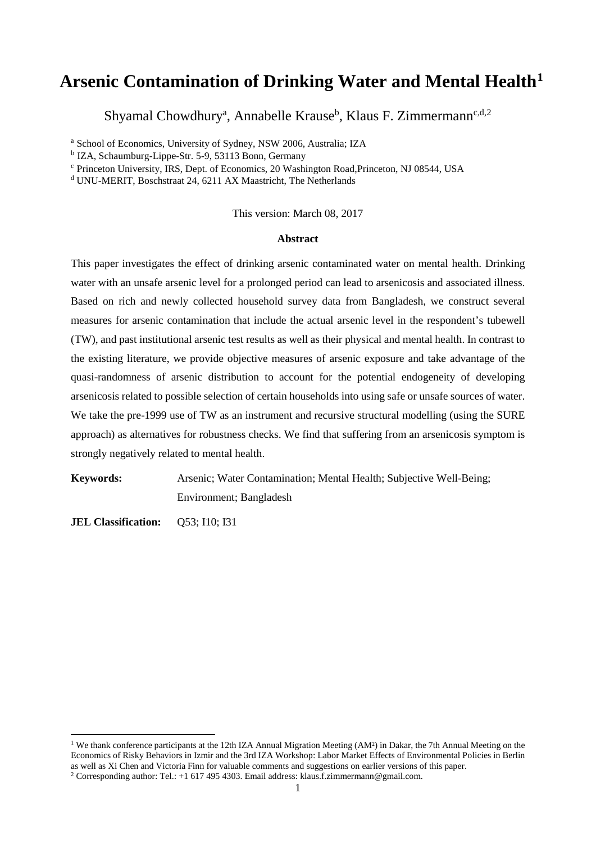# **Arsenic Contamination of Drinking Water and Mental Health[1](#page-0-0)**

Shyamal Chowdhury<sup>a</sup>, Annabelle Krause<sup>b</sup>, Klaus F. Zimmermann<sup>c,d[,2](#page-0-1)</sup>

<sup>a</sup> School of Economics, University of Sydney, NSW 2006, Australia; IZA

<sup>b</sup> IZA, Schaumburg-Lippe-Str. 5-9, 53113 Bonn, Germany

<sup>c</sup> Princeton University, IRS, Dept. of Economics, 20 Washington Road,Princeton, NJ 08544, USA

<sup>d</sup> UNU-MERIT, Boschstraat 24, 6211 AX Maastricht, The Netherlands

This version: March 08, 2017

#### **Abstract**

This paper investigates the effect of drinking arsenic contaminated water on mental health. Drinking water with an unsafe arsenic level for a prolonged period can lead to arsenicosis and associated illness. Based on rich and newly collected household survey data from Bangladesh, we construct several measures for arsenic contamination that include the actual arsenic level in the respondent's tubewell (TW), and past institutional arsenic test results as well as their physical and mental health. In contrast to the existing literature, we provide objective measures of arsenic exposure and take advantage of the quasi-randomness of arsenic distribution to account for the potential endogeneity of developing arsenicosis related to possible selection of certain households into using safe or unsafe sources of water. We take the pre-1999 use of TW as an instrument and recursive structural modelling (using the SURE approach) as alternatives for robustness checks. We find that suffering from an arsenicosis symptom is strongly negatively related to mental health.

**Keywords:** Arsenic; Water Contamination; Mental Health; Subjective Well-Being; Environment; Bangladesh

**JEL Classification:** Q53; I10; I31

 $\overline{a}$ 

<span id="page-0-0"></span><sup>&</sup>lt;sup>1</sup> We thank conference participants at the 12th IZA Annual Migration Meeting (AM<sup>2</sup>) in Dakar, the 7th Annual Meeting on the Economics of Risky Behaviors in Izmir and the 3rd IZA Workshop: Labor Market Effects of Environmental Policies in Berlin as well as Xi Chen and Victoria Finn for valuable comments and suggestions on earlier versions of this paper. <sup>2</sup> Corresponding author: Tel.: +1 617 495 4303. Email address: klaus.f.zimmermann@gmail.com.

<span id="page-0-1"></span>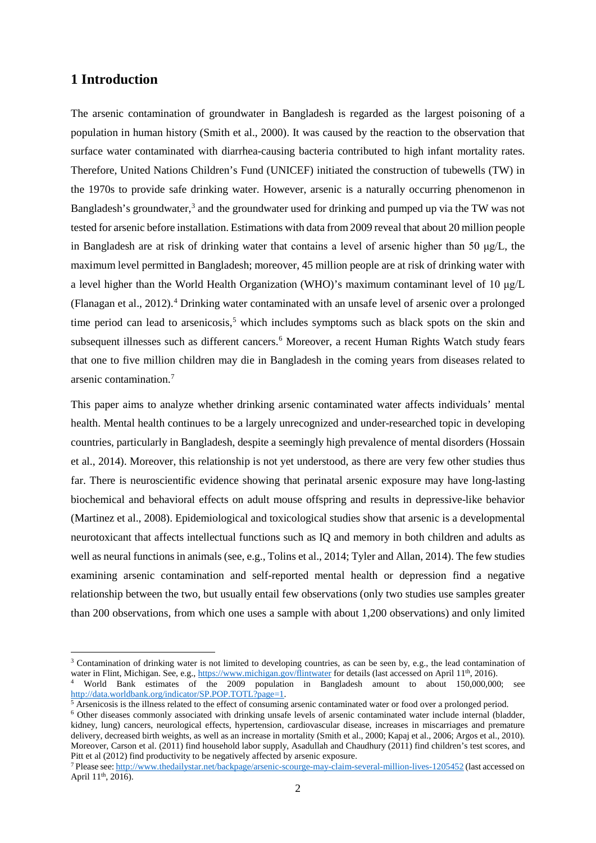## **1 Introduction**

 $\overline{a}$ 

The arsenic contamination of groundwater in Bangladesh is regarded as the largest poisoning of a population in human history (Smith et al., 2000). It was caused by the reaction to the observation that surface water contaminated with diarrhea-causing bacteria contributed to high infant mortality rates. Therefore, United Nations Children's Fund (UNICEF) initiated the construction of tubewells (TW) in the 1970s to provide safe drinking water. However, arsenic is a naturally occurring phenomenon in Bangladesh's groundwater,<sup>[3](#page-1-0)</sup> and the groundwater used for drinking and pumped up via the TW was not tested for arsenic before installation. Estimations with data from 2009 reveal that about 20 million people in Bangladesh are at risk of drinking water that contains a level of arsenic higher than 50 μg/L, the maximum level permitted in Bangladesh; moreover, 45 million people are at risk of drinking water with a level higher than the World Health Organization (WHO)'s maximum contaminant level of 10 μg/L (Flanagan et al., 2012).[4](#page-1-1) Drinking water contaminated with an unsafe level of arsenic over a prolonged time period can lead to arsenicosis, [5](#page-1-2) which includes symptoms such as black spots on the skin and subsequent illnesses such as different cancers.<sup>[6](#page-1-3)</sup> Moreover, a recent Human Rights Watch study fears that one to five million children may die in Bangladesh in the coming years from diseases related to arsenic contamination.[7](#page-1-4)

This paper aims to analyze whether drinking arsenic contaminated water affects individuals' mental health. Mental health continues to be a largely unrecognized and under-researched topic in developing countries, particularly in Bangladesh, despite a seemingly high prevalence of mental disorders (Hossain et al., 2014). Moreover, this relationship is not yet understood, as there are very few other studies thus far. There is neuroscientific evidence showing that perinatal arsenic exposure may have long-lasting biochemical and behavioral effects on adult mouse offspring and results in depressive-like behavior (Martinez et al., 2008). Epidemiological and toxicological studies show that arsenic is a developmental neurotoxicant that affects intellectual functions such as IQ and memory in both children and adults as well as neural functions in animals (see, e.g., Tolins et al., 2014; Tyler and Allan, 2014). The few studies examining arsenic contamination and self-reported mental health or depression find a negative relationship between the two, but usually entail few observations (only two studies use samples greater than 200 observations, from which one uses a sample with about 1,200 observations) and only limited

<span id="page-1-0"></span><sup>&</sup>lt;sup>3</sup> Contamination of drinking water is not limited to developing countries, as can be seen by, e.g., the lead contamination of water in Flint, Michigan. See, e.g.,<https://www.michigan.gov/flintwater> for details (last accessed on April 11<sup>th</sup>, 2016).

<span id="page-1-1"></span><sup>4</sup> World Bank estimates of the 2009 population in Bangladesh amount to about 150,000,000; see [http://data.worldbank.org/indicator/SP.POP.TOTL?page=1.](http://data.worldbank.org/indicator/SP.POP.TOTL?page=1)

 $\frac{5}{3}$  Arsenicosis is the illness related to the effect of consuming arsenic contaminated water or food over a prolonged period.

<span id="page-1-3"></span><span id="page-1-2"></span><sup>6</sup> Other diseases commonly associated with drinking unsafe levels of arsenic contaminated water include internal (bladder, kidney, lung) cancers, neurological effects, hypertension, cardiovascular disease, increases in miscarriages and premature delivery, decreased birth weights, as well as an increase in mortality (Smith et al., 2000; Kapaj et al., 2006; Argos et al., 2010). Moreover, Carson et al. (2011) find household labor supply, Asadullah and Chaudhury (2011) find children's test scores, and Pitt et al (2012) find productivity to be negatively affected by arsenic exposure.

<span id="page-1-4"></span><sup>7</sup> Please see[: http://www.thedailystar.net/backpage/arsenic-scourge-may-claim-several-million-lives-1205452](http://www.thedailystar.net/backpage/arsenic-scourge-may-claim-several-million-lives-1205452) (last accessed on April 11<sup>th</sup>, 2016).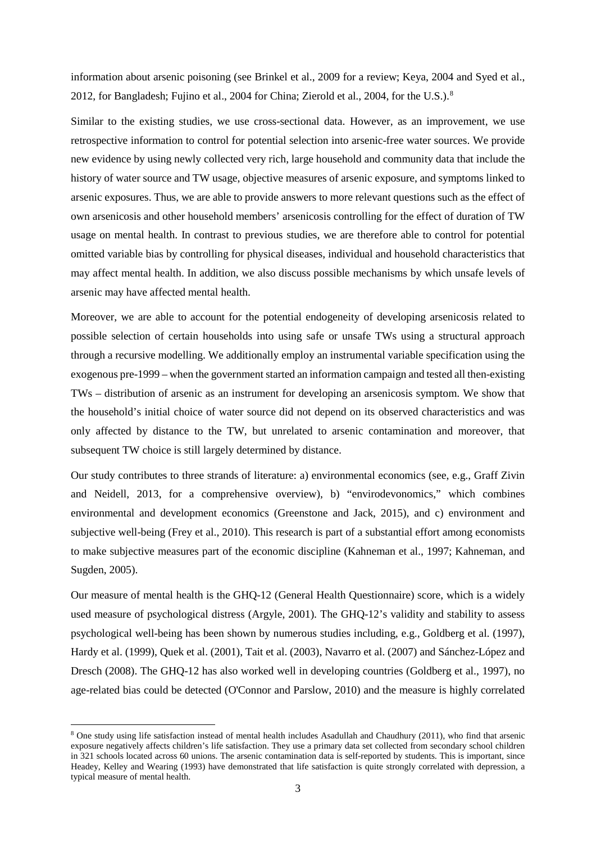information about arsenic poisoning (see Brinkel et al., 2009 for a review; Keya, 2004 and Syed et al., 2012, for Bangladesh; Fujino et al., 2004 for China; Zierold et al., 2004, for the U.S.).<sup>[8](#page-2-0)</sup>

Similar to the existing studies, we use cross-sectional data. However, as an improvement, we use retrospective information to control for potential selection into arsenic-free water sources. We provide new evidence by using newly collected very rich, large household and community data that include the history of water source and TW usage, objective measures of arsenic exposure, and symptoms linked to arsenic exposures. Thus, we are able to provide answers to more relevant questions such as the effect of own arsenicosis and other household members' arsenicosis controlling for the effect of duration of TW usage on mental health. In contrast to previous studies, we are therefore able to control for potential omitted variable bias by controlling for physical diseases, individual and household characteristics that may affect mental health. In addition, we also discuss possible mechanisms by which unsafe levels of arsenic may have affected mental health.

Moreover, we are able to account for the potential endogeneity of developing arsenicosis related to possible selection of certain households into using safe or unsafe TWs using a structural approach through a recursive modelling. We additionally employ an instrumental variable specification using the exogenous pre-1999 – when the government started an information campaign and tested all then-existing TWs – distribution of arsenic as an instrument for developing an arsenicosis symptom. We show that the household's initial choice of water source did not depend on its observed characteristics and was only affected by distance to the TW, but unrelated to arsenic contamination and moreover, that subsequent TW choice is still largely determined by distance.

Our study contributes to three strands of literature: a) environmental economics (see, e.g., Graff Zivin and Neidell, 2013, for a comprehensive overview), b) "envirodevonomics," which combines environmental and development economics (Greenstone and Jack, 2015), and c) environment and subjective well-being (Frey et al., 2010). This research is part of a substantial effort among economists to make subjective measures part of the economic discipline (Kahneman et al., 1997; Kahneman, and Sugden, 2005).

Our measure of mental health is the GHQ-12 (General Health Questionnaire) score, which is a widely used measure of psychological distress (Argyle, 2001). The GHQ-12's validity and stability to assess psychological well-being has been shown by numerous studies including, e.g., Goldberg et al. (1997), Hardy et al. (1999), Quek et al. (2001), Tait et al. (2003), Navarro et al. (2007) and Sánchez-López and Dresch (2008). The GHQ-12 has also worked well in developing countries (Goldberg et al., 1997), no age-related bias could be detected (O'Connor and Parslow, 2010) and the measure is highly correlated

 $\overline{a}$ 

<span id="page-2-0"></span><sup>8</sup> One study using life satisfaction instead of mental health includes Asadullah and Chaudhury (2011), who find that arsenic exposure negatively affects children's life satisfaction. They use a primary data set collected from secondary school children in 321 schools located across 60 unions. The arsenic contamination data is self-reported by students. This is important, since Headey, Kelley and Wearing (1993) have demonstrated that life satisfaction is quite strongly correlated with depression, a typical measure of mental health.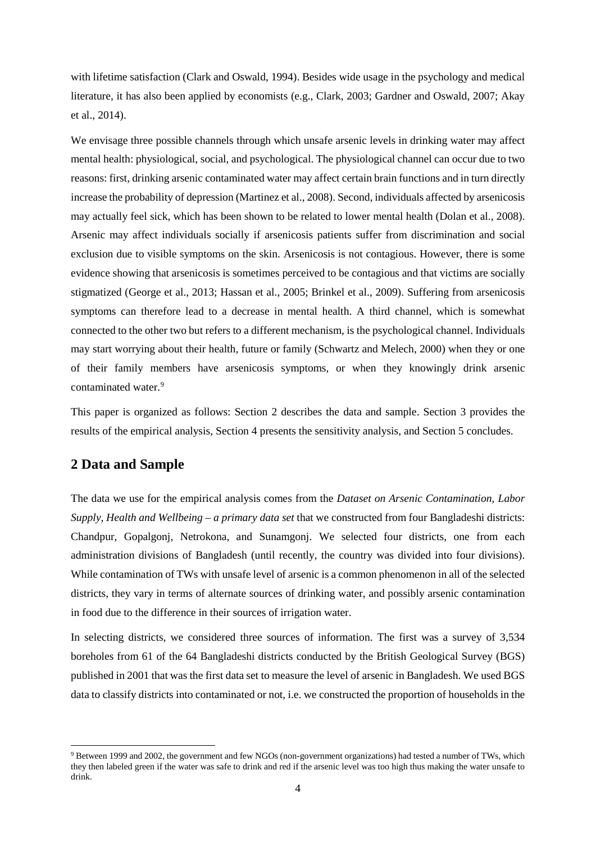with lifetime satisfaction (Clark and Oswald, 1994). Besides wide usage in the psychology and medical literature, it has also been applied by economists (e.g., Clark, 2003; Gardner and Oswald, 2007; Akay et al., 2014).

We envisage three possible channels through which unsafe arsenic levels in drinking water may affect mental health: physiological, social, and psychological. The physiological channel can occur due to two reasons: first, drinking arsenic contaminated water may affect certain brain functions and in turn directly increase the probability of depression (Martinez et al., 2008). Second, individuals affected by arsenicosis may actually feel sick, which has been shown to be related to lower mental health (Dolan et al., 2008). Arsenic may affect individuals socially if arsenicosis patients suffer from discrimination and social exclusion due to visible symptoms on the skin. Arsenicosis is not contagious. However, there is some evidence showing that arsenicosis is sometimes perceived to be contagious and that victims are socially stigmatized (George et al., 2013; Hassan et al., 2005; Brinkel et al., 2009). Suffering from arsenicosis symptoms can therefore lead to a decrease in mental health. A third channel, which is somewhat connected to the other two but refers to a different mechanism, is the psychological channel. Individuals may start worrying about their health, future or family (Schwartz and Melech, 2000) when they or one of their family members have arsenicosis symptoms, or when they knowingly drink arsenic contaminated water. [9](#page-3-0)

This paper is organized as follows: Section 2 describes the data and sample. Section 3 provides the results of the empirical analysis, Section 4 presents the sensitivity analysis, and Section 5 concludes.

# **2 Data and Sample**

 $\overline{a}$ 

The data we use for the empirical analysis comes from the *Dataset on Arsenic Contamination, Labor Supply, Health and Wellbeing – a primary data set* that we constructed from four Bangladeshi districts: Chandpur, Gopalgonj, Netrokona, and Sunamgonj. We selected four districts, one from each administration divisions of Bangladesh (until recently, the country was divided into four divisions). While contamination of TWs with unsafe level of arsenic is a common phenomenon in all of the selected districts, they vary in terms of alternate sources of drinking water, and possibly arsenic contamination in food due to the difference in their sources of irrigation water.

In selecting districts, we considered three sources of information. The first was a survey of 3,534 boreholes from 61 of the 64 Bangladeshi districts conducted by the British Geological Survey (BGS) published in 2001 that was the first data set to measure the level of arsenic in Bangladesh. We used BGS data to classify districts into contaminated or not, i.e. we constructed the proportion of households in the

<span id="page-3-0"></span><sup>9</sup> Between 1999 and 2002, the government and few NGOs (non-government organizations) had tested a number of TWs, which they then labeled green if the water was safe to drink and red if the arsenic level was too high thus making the water unsafe to drink.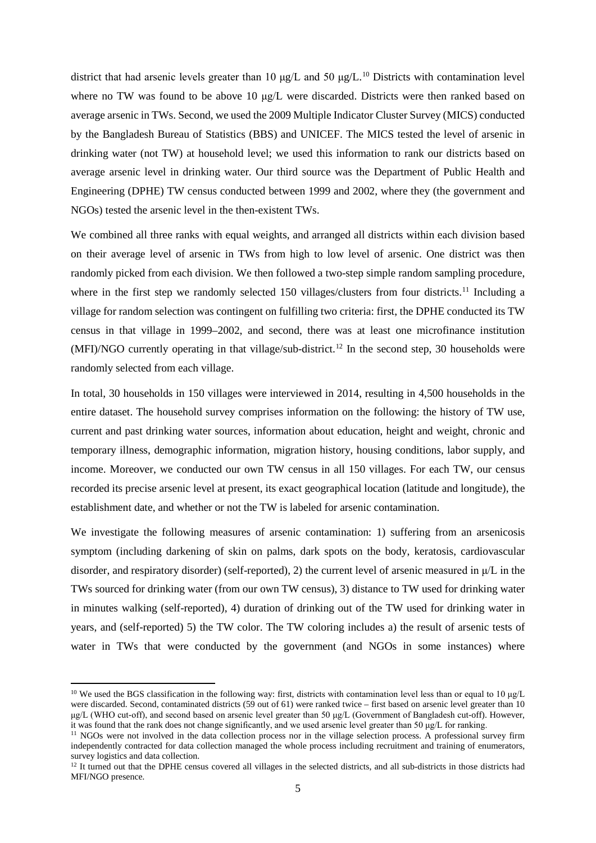district that had arsenic levels greater than [10](#page-4-0)  $\mu$ g/L and 50  $\mu$ g/L.<sup>10</sup> Districts with contamination level where no TW was found to be above 10 μg/L were discarded. Districts were then ranked based on average arsenic in TWs. Second, we used the 2009 Multiple Indicator Cluster Survey (MICS) conducted by the Bangladesh Bureau of Statistics (BBS) and UNICEF. The MICS tested the level of arsenic in drinking water (not TW) at household level; we used this information to rank our districts based on average arsenic level in drinking water. Our third source was the Department of Public Health and Engineering (DPHE) TW census conducted between 1999 and 2002, where they (the government and NGOs) tested the arsenic level in the then-existent TWs.

We combined all three ranks with equal weights, and arranged all districts within each division based on their average level of arsenic in TWs from high to low level of arsenic. One district was then randomly picked from each division. We then followed a two-step simple random sampling procedure, where in the first step we randomly selected 150 villages/clusters from four districts.<sup>[11](#page-4-1)</sup> Including a village for random selection was contingent on fulfilling two criteria: first, the DPHE conducted its TW census in that village in 1999–2002, and second, there was at least one microfinance institution (MFI)/NGO currently operating in that village/sub-district. [12](#page-4-2) In the second step, 30 households were randomly selected from each village.

In total, 30 households in 150 villages were interviewed in 2014, resulting in 4,500 households in the entire dataset. The household survey comprises information on the following: the history of TW use, current and past drinking water sources, information about education, height and weight, chronic and temporary illness, demographic information, migration history, housing conditions, labor supply, and income. Moreover, we conducted our own TW census in all 150 villages. For each TW, our census recorded its precise arsenic level at present, its exact geographical location (latitude and longitude), the establishment date, and whether or not the TW is labeled for arsenic contamination.

We investigate the following measures of arsenic contamination: 1) suffering from an arsenicosis symptom (including darkening of skin on palms, dark spots on the body, keratosis, cardiovascular disorder, and respiratory disorder) (self-reported), 2) the current level of arsenic measured in μ/L in the TWs sourced for drinking water (from our own TW census), 3) distance to TW used for drinking water in minutes walking (self-reported), 4) duration of drinking out of the TW used for drinking water in years, and (self-reported) 5) the TW color. The TW coloring includes a) the result of arsenic tests of water in TWs that were conducted by the government (and NGOs in some instances) where

 $\overline{a}$ 

<span id="page-4-0"></span><sup>&</sup>lt;sup>10</sup> We used the BGS classification in the following way: first, districts with contamination level less than or equal to 10 μg/L were discarded. Second, contaminated districts (59 out of 61) were ranked twice – first based on arsenic level greater than 10 μg/L (WHO cut-off), and second based on arsenic level greater than 50 μg/L (Government of Bangladesh cut-off). However, it was found that the rank does not change significantly, and we used arsenic level greater than 50 μg/L for ranking.

<span id="page-4-1"></span><sup>&</sup>lt;sup>11</sup> NGOs were not involved in the data collection process nor in the village selection process. A professional survey firm independently contracted for data collection managed the whole process including recruitment and training of enumerators, survey logistics and data collection.

<span id="page-4-2"></span><sup>&</sup>lt;sup>12</sup> It turned out that the DPHE census covered all villages in the selected districts, and all sub-districts in those districts had MFI/NGO presence*.*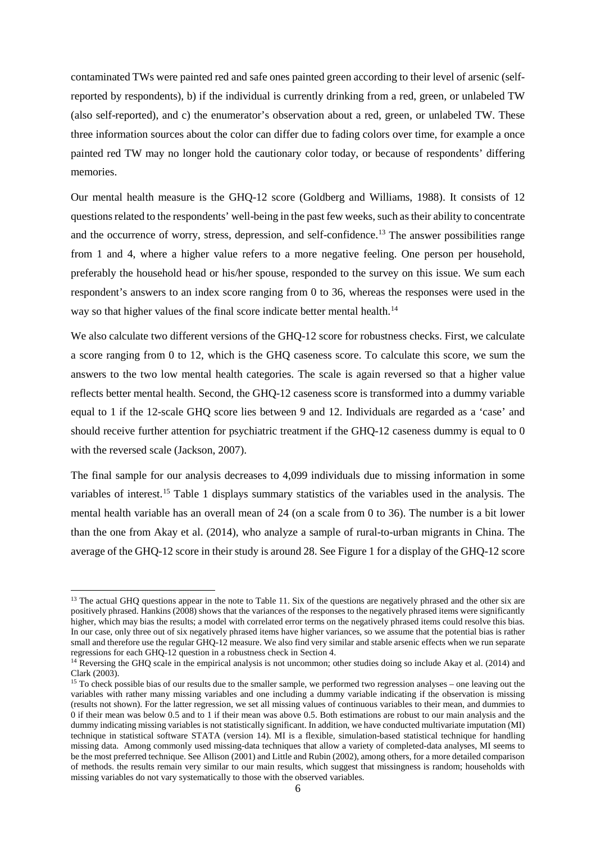contaminated TWs were painted red and safe ones painted green according to their level of arsenic (selfreported by respondents), b) if the individual is currently drinking from a red, green, or unlabeled TW (also self-reported), and c) the enumerator's observation about a red, green, or unlabeled TW. These three information sources about the color can differ due to fading colors over time, for example a once painted red TW may no longer hold the cautionary color today, or because of respondents' differing memories.

Our mental health measure is the GHQ-12 score (Goldberg and Williams, 1988). It consists of 12 questions related to the respondents' well-being in the past few weeks, such as their ability to concentrate and the occurrence of worry, stress, depression, and self-confidence.<sup>[13](#page-5-0)</sup> The answer possibilities range from 1 and 4, where a higher value refers to a more negative feeling. One person per household, preferably the household head or his/her spouse, responded to the survey on this issue. We sum each respondent's answers to an index score ranging from 0 to 36, whereas the responses were used in the way so that higher values of the final score indicate better mental health.<sup>[14](#page-5-1)</sup>

We also calculate two different versions of the GHQ-12 score for robustness checks. First, we calculate a score ranging from 0 to 12, which is the GHQ caseness score. To calculate this score, we sum the answers to the two low mental health categories. The scale is again reversed so that a higher value reflects better mental health. Second, the GHQ-12 caseness score is transformed into a dummy variable equal to 1 if the 12-scale GHQ score lies between 9 and 12. Individuals are regarded as a 'case' and should receive further attention for psychiatric treatment if the GHQ-12 caseness dummy is equal to 0 with the reversed scale (Jackson, 2007).

The final sample for our analysis decreases to 4,099 individuals due to missing information in some variables of interest.[15](#page-5-2) Table 1 displays summary statistics of the variables used in the analysis. The mental health variable has an overall mean of 24 (on a scale from 0 to 36). The number is a bit lower than the one from Akay et al. (2014), who analyze a sample of rural-to-urban migrants in China. The average of the GHQ-12 score in their study is around 28. See Figure 1 for a display of the GHQ-12 score

 $\overline{a}$ 

<span id="page-5-0"></span> $13$  The actual GHQ questions appear in the note to Table 11. Six of the questions are negatively phrased and the other six are positively phrased. Hankins (2008) shows that the variances of the responses to the negatively phrased items were significantly higher, which may bias the results; a model with correlated error terms on the negatively phrased items could resolve this bias. In our case, only three out of six negatively phrased items have higher variances, so we assume that the potential bias is rather small and therefore use the regular GHQ-12 measure. We also find very similar and stable arsenic effects when we run separate regressions for each GHQ-12 question in a robustness check in Section 4.

<span id="page-5-1"></span><sup>&</sup>lt;sup>14</sup> Reversing the GHQ scale in the empirical analysis is not uncommon; other studies doing so include Akay et al. (2014) and Clark (2003).

<span id="page-5-2"></span><sup>&</sup>lt;sup>15</sup> To check possible bias of our results due to the smaller sample, we performed two regression analyses – one leaving out the variables with rather many missing variables and one including a dummy variable indicating if the observation is missing (results not shown). For the latter regression, we set all missing values of continuous variables to their mean, and dummies to 0 if their mean was below 0.5 and to 1 if their mean was above 0.5. Both estimations are robust to our main analysis and the dummy indicating missing variables is not statistically significant. In addition, we have conducted multivariate imputation (MI) technique in statistical software STATA (version 14). MI is a flexible, simulation-based statistical technique for handling missing data. Among commonly used missing-data techniques that allow a variety of completed-data analyses, MI seems to be the most preferred technique. See Allison (2001) and Little and Rubin (2002), among others, for a more detailed comparison of methods. the results remain very similar to our main results, which suggest that missingness is random; households with missing variables do not vary systematically to those with the observed variables.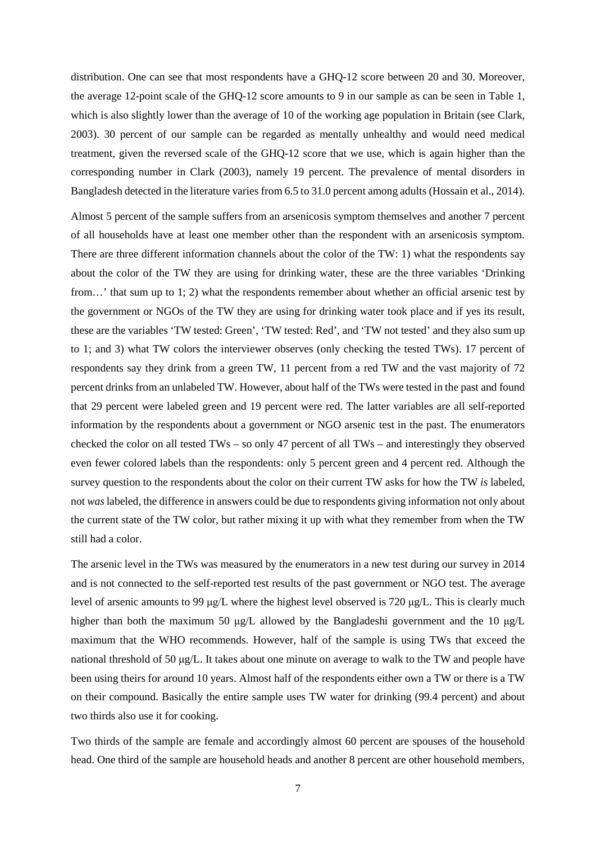distribution. One can see that most respondents have a GHQ-12 score between 20 and 30. Moreover, the average 12-point scale of the GHQ-12 score amounts to 9 in our sample as can be seen in Table 1, which is also slightly lower than the average of 10 of the working age population in Britain (see Clark, 2003). 30 percent of our sample can be regarded as mentally unhealthy and would need medical treatment, given the reversed scale of the GHQ-12 score that we use, which is again higher than the corresponding number in Clark (2003), namely 19 percent. The prevalence of mental disorders in Bangladesh detected in the literature varies from 6.5 to 31.0 percent among adults (Hossain et al., 2014).

Almost 5 percent of the sample suffers from an arsenicosis symptom themselves and another 7 percent of all households have at least one member other than the respondent with an arsenicosis symptom. There are three different information channels about the color of the TW: 1) what the respondents say about the color of the TW they are using for drinking water, these are the three variables 'Drinking from…' that sum up to 1; 2) what the respondents remember about whether an official arsenic test by the government or NGOs of the TW they are using for drinking water took place and if yes its result, these are the variables 'TW tested: Green', 'TW tested: Red', and 'TW not tested' and they also sum up to 1; and 3) what TW colors the interviewer observes (only checking the tested TWs). 17 percent of respondents say they drink from a green TW, 11 percent from a red TW and the vast majority of 72 percent drinks from an unlabeled TW. However, about half of the TWs were tested in the past and found that 29 percent were labeled green and 19 percent were red. The latter variables are all self-reported information by the respondents about a government or NGO arsenic test in the past. The enumerators checked the color on all tested TWs – so only 47 percent of all TWs – and interestingly they observed even fewer colored labels than the respondents: only 5 percent green and 4 percent red. Although the survey question to the respondents about the color on their current TW asks for how the TW *is* labeled, not *was* labeled, the difference in answers could be due to respondents giving information not only about the current state of the TW color, but rather mixing it up with what they remember from when the TW still had a color.

The arsenic level in the TWs was measured by the enumerators in a new test during our survey in 2014 and is not connected to the self-reported test results of the past government or NGO test. The average level of arsenic amounts to 99 μg/L where the highest level observed is 720 μg/L. This is clearly much higher than both the maximum 50 μg/L allowed by the Bangladeshi government and the 10 μg/L maximum that the WHO recommends. However, half of the sample is using TWs that exceed the national threshold of 50 μg/L. It takes about one minute on average to walk to the TW and people have been using theirs for around 10 years. Almost half of the respondents either own a TW or there is a TW on their compound. Basically the entire sample uses TW water for drinking (99.4 percent) and about two thirds also use it for cooking.

Two thirds of the sample are female and accordingly almost 60 percent are spouses of the household head. One third of the sample are household heads and another 8 percent are other household members,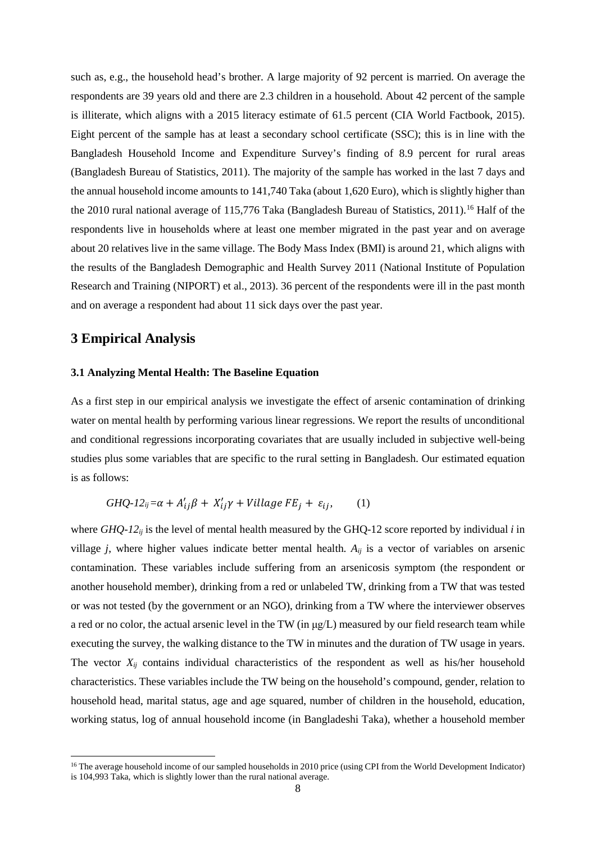such as, e.g., the household head's brother. A large majority of 92 percent is married. On average the respondents are 39 years old and there are 2.3 children in a household. About 42 percent of the sample is illiterate, which aligns with a 2015 literacy estimate of 61.5 percent (CIA World Factbook, 2015). Eight percent of the sample has at least a secondary school certificate (SSC); this is in line with the Bangladesh Household Income and Expenditure Survey's finding of 8.9 percent for rural areas (Bangladesh Bureau of Statistics, 2011). The majority of the sample has worked in the last 7 days and the annual household income amounts to 141,740 Taka (about 1,620 Euro), which is slightly higher than the 2010 rural national average of 115,776 Taka (Bangladesh Bureau of Statistics, 2011). [16](#page-7-0) Half of the respondents live in households where at least one member migrated in the past year and on average about 20 relatives live in the same village. The Body Mass Index (BMI) is around 21, which aligns with the results of the Bangladesh Demographic and Health Survey 2011 (National Institute of Population Research and Training (NIPORT) et al., 2013). 36 percent of the respondents were ill in the past month and on average a respondent had about 11 sick days over the past year.

## **3 Empirical Analysis**

 $\overline{a}$ 

## **3.1 Analyzing Mental Health: The Baseline Equation**

As a first step in our empirical analysis we investigate the effect of arsenic contamination of drinking water on mental health by performing various linear regressions. We report the results of unconditional and conditional regressions incorporating covariates that are usually included in subjective well-being studies plus some variables that are specific to the rural setting in Bangladesh. Our estimated equation is as follows:

$$
GHQ-12_{ij}=\alpha + A'_{ij}\beta + X'_{ij}\gamma + Village FE_j + \varepsilon_{ij},\qquad(1)
$$

where  $GHQ-12_{ij}$  is the level of mental health measured by the GHQ-12 score reported by individual *i* in village *j*, where higher values indicate better mental health. *Aij* is a vector of variables on arsenic contamination. These variables include suffering from an arsenicosis symptom (the respondent or another household member), drinking from a red or unlabeled TW, drinking from a TW that was tested or was not tested (by the government or an NGO), drinking from a TW where the interviewer observes a red or no color, the actual arsenic level in the TW (in  $\mu$ g/L) measured by our field research team while executing the survey, the walking distance to the TW in minutes and the duration of TW usage in years. The vector  $X_{ii}$  contains individual characteristics of the respondent as well as his/her household characteristics. These variables include the TW being on the household's compound, gender, relation to household head, marital status, age and age squared, number of children in the household, education, working status, log of annual household income (in Bangladeshi Taka), whether a household member

<span id="page-7-0"></span><sup>&</sup>lt;sup>16</sup> The average household income of our sampled households in 2010 price (using CPI from the World Development Indicator) is 104,993 Taka, which is slightly lower than the rural national average.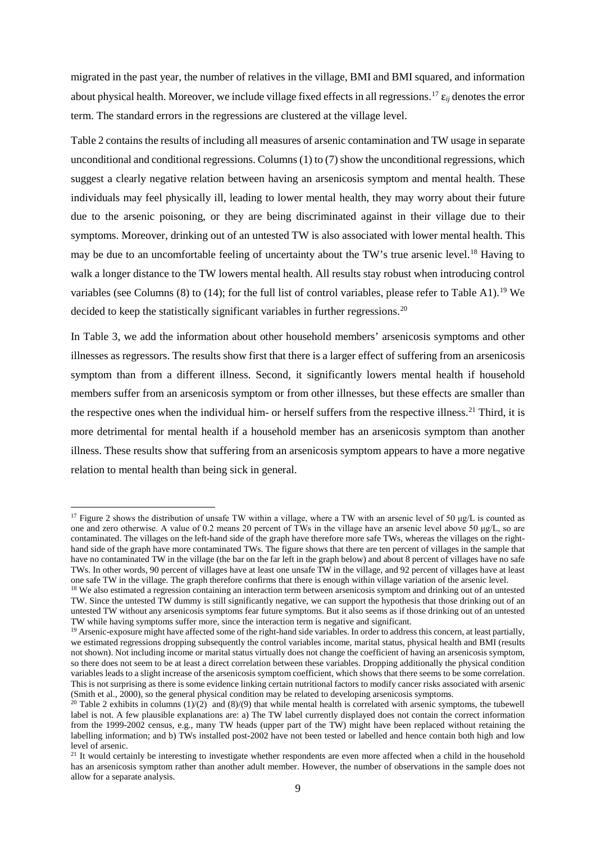migrated in the past year, the number of relatives in the village, BMI and BMI squared, and information about physical health. Moreover, we include village fixed effects in all regressions. [17](#page-8-0) ε*ij* denotes the error term. The standard errors in the regressions are clustered at the village level.

Table 2 contains the results of including all measures of arsenic contamination and TW usage in separate unconditional and conditional regressions. Columns (1) to (7) show the unconditional regressions, which suggest a clearly negative relation between having an arsenicosis symptom and mental health. These individuals may feel physically ill, leading to lower mental health, they may worry about their future due to the arsenic poisoning, or they are being discriminated against in their village due to their symptoms. Moreover, drinking out of an untested TW is also associated with lower mental health. This may be due to an uncomfortable feeling of uncertainty about the TW's true arsenic level.<sup>[18](#page-8-1)</sup> Having to walk a longer distance to the TW lowers mental health. All results stay robust when introducing control variables (see Columns (8) to (14); for the full list of control variables, please refer to Table A1).<sup>[19](#page-8-2)</sup> We decided to keep the statistically significant variables in further regressions.<sup>[20](#page-8-3)</sup>

In Table 3, we add the information about other household members' arsenicosis symptoms and other illnesses as regressors. The results show first that there is a larger effect of suffering from an arsenicosis symptom than from a different illness. Second, it significantly lowers mental health if household members suffer from an arsenicosis symptom or from other illnesses, but these effects are smaller than the respective ones when the individual him- or herself suffers from the respective illness.<sup>[21](#page-8-4)</sup> Third, it is more detrimental for mental health if a household member has an arsenicosis symptom than another illness. These results show that suffering from an arsenicosis symptom appears to have a more negative relation to mental health than being sick in general.

l

<span id="page-8-0"></span><sup>&</sup>lt;sup>17</sup> Figure 2 shows the distribution of unsafe TW within a village, where a TW with an arsenic level of 50 μg/L is counted as one and zero otherwise. A value of 0.2 means 20 percent of TWs in the village have an arsenic level above 50 μg/L, so are contaminated. The villages on the left-hand side of the graph have therefore more safe TWs, whereas the villages on the righthand side of the graph have more contaminated TWs. The figure shows that there are ten percent of villages in the sample that have no contaminated TW in the village (the bar on the far left in the graph below) and about 8 percent of villages have no safe TWs. In other words, 90 percent of villages have at least one unsafe TW in the village, and 92 percent of villages have at least one safe TW in the village. The graph therefore confirms that there is enough within village variation of the arsenic level.

<span id="page-8-1"></span><sup>&</sup>lt;sup>18</sup> We also estimated a regression containing an interaction term between arsenicosis symptom and drinking out of an untested TW. Since the untested TW dummy is still significantly negative, we can support the hypothesis that those drinking out of an untested TW without any arsenicosis symptoms fear future symptoms. But it also seems as if those drinking out of an untested TW while having symptoms suffer more, since the interaction term is negative and significant.

<span id="page-8-2"></span><sup>&</sup>lt;sup>19</sup> Arsenic-exposure might have affected some of the right-hand side variables. In order to address this concern, at least partially, we estimated regressions dropping subsequently the control variables income, marital status, physical health and BMI (results not shown). Not including income or marital status virtually does not change the coefficient of having an arsenicosis symptom, so there does not seem to be at least a direct correlation between these variables. Dropping additionally the physical condition variables leads to a slight increase of the arsenicosis symptom coefficient, which shows that there seems to be some correlation. This is not surprising as there is some evidence linking certain nutritional factors to modify cancer risks associated with arsenic (Smith et al., 2000), so the general physical condition may be related to developing arsenicosis symptoms.

<span id="page-8-3"></span><sup>&</sup>lt;sup>20</sup> Table 2 exhibits in columns (1)/(2) and (8)/(9) that while mental health is correlated with arsenic symptoms, the tubewell label is not. A few plausible explanations are: a) The TW label currently displayed does not contain the correct information from the 1999-2002 census, e.g., many TW heads (upper part of the TW) might have been replaced without retaining the labelling information; and b) TWs installed post-2002 have not been tested or labelled and hence contain both high and low level of arsenic.

<span id="page-8-4"></span> $21$  It would certainly be interesting to investigate whether respondents are even more affected when a child in the household has an arsenicosis symptom rather than another adult member. However, the number of observations in the sample does not allow for a separate analysis.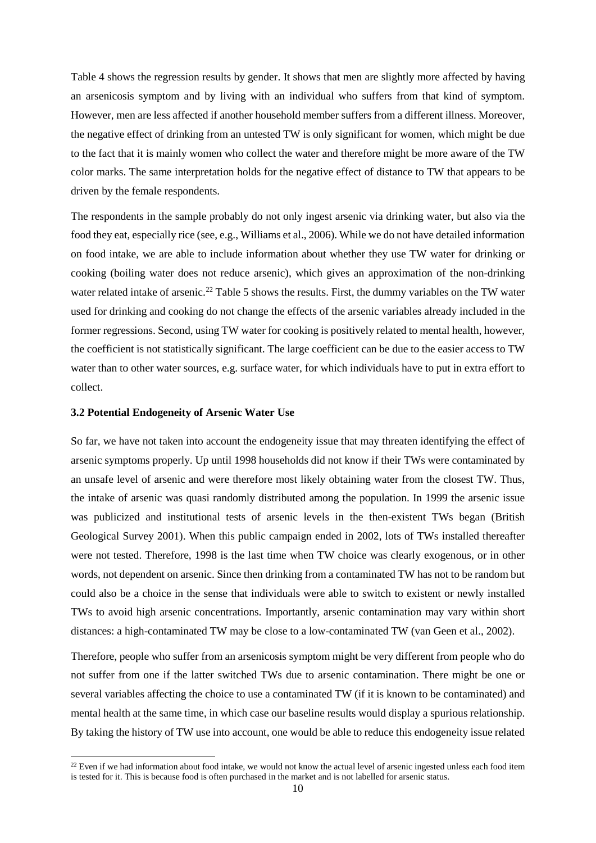Table 4 shows the regression results by gender. It shows that men are slightly more affected by having an arsenicosis symptom and by living with an individual who suffers from that kind of symptom. However, men are less affected if another household member suffers from a different illness. Moreover, the negative effect of drinking from an untested TW is only significant for women, which might be due to the fact that it is mainly women who collect the water and therefore might be more aware of the TW color marks. The same interpretation holds for the negative effect of distance to TW that appears to be driven by the female respondents.

The respondents in the sample probably do not only ingest arsenic via drinking water, but also via the food they eat, especially rice (see, e.g., Williams et al., 2006). While we do not have detailed information on food intake, we are able to include information about whether they use TW water for drinking or cooking (boiling water does not reduce arsenic), which gives an approximation of the non-drinking water related intake of arsenic.<sup>[22](#page-9-0)</sup> Table 5 shows the results. First, the dummy variables on the TW water used for drinking and cooking do not change the effects of the arsenic variables already included in the former regressions. Second, using TW water for cooking is positively related to mental health, however, the coefficient is not statistically significant. The large coefficient can be due to the easier access to TW water than to other water sources, e.g. surface water, for which individuals have to put in extra effort to collect.

## **3.2 Potential Endogeneity of Arsenic Water Use**

 $\overline{a}$ 

So far, we have not taken into account the endogeneity issue that may threaten identifying the effect of arsenic symptoms properly. Up until 1998 households did not know if their TWs were contaminated by an unsafe level of arsenic and were therefore most likely obtaining water from the closest TW. Thus, the intake of arsenic was quasi randomly distributed among the population. In 1999 the arsenic issue was publicized and institutional tests of arsenic levels in the then-existent TWs began (British Geological Survey 2001). When this public campaign ended in 2002, lots of TWs installed thereafter were not tested. Therefore, 1998 is the last time when TW choice was clearly exogenous, or in other words, not dependent on arsenic. Since then drinking from a contaminated TW has not to be random but could also be a choice in the sense that individuals were able to switch to existent or newly installed TWs to avoid high arsenic concentrations. Importantly, arsenic contamination may vary within short distances: a high-contaminated TW may be close to a low-contaminated TW (van Geen et al., 2002).

Therefore, people who suffer from an arsenicosis symptom might be very different from people who do not suffer from one if the latter switched TWs due to arsenic contamination. There might be one or several variables affecting the choice to use a contaminated TW (if it is known to be contaminated) and mental health at the same time, in which case our baseline results would display a spurious relationship. By taking the history of TW use into account, one would be able to reduce this endogeneity issue related

<span id="page-9-0"></span> $22$  Even if we had information about food intake, we would not know the actual level of arsenic ingested unless each food item is tested for it. This is because food is often purchased in the market and is not labelled for arsenic status.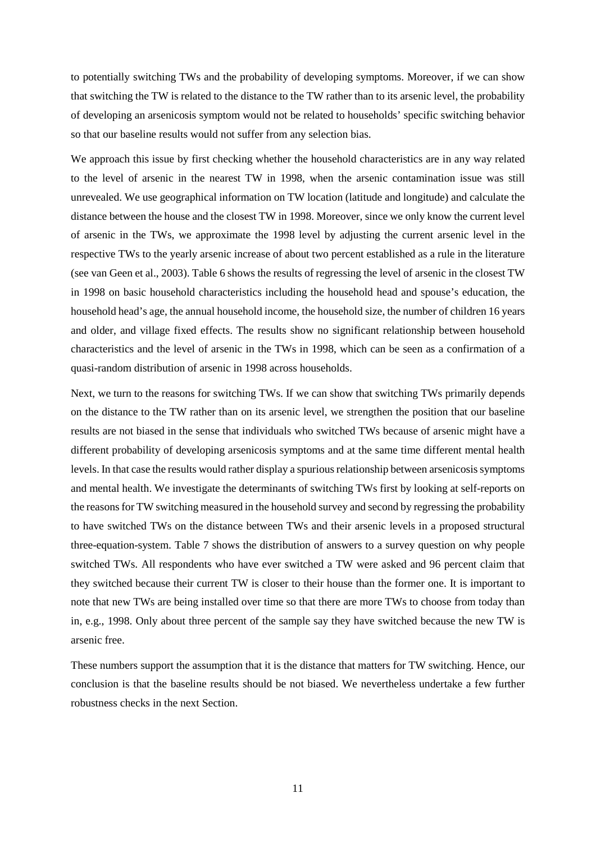to potentially switching TWs and the probability of developing symptoms. Moreover, if we can show that switching the TW is related to the distance to the TW rather than to its arsenic level, the probability of developing an arsenicosis symptom would not be related to households' specific switching behavior so that our baseline results would not suffer from any selection bias.

We approach this issue by first checking whether the household characteristics are in any way related to the level of arsenic in the nearest TW in 1998, when the arsenic contamination issue was still unrevealed. We use geographical information on TW location (latitude and longitude) and calculate the distance between the house and the closest TW in 1998. Moreover, since we only know the current level of arsenic in the TWs, we approximate the 1998 level by adjusting the current arsenic level in the respective TWs to the yearly arsenic increase of about two percent established as a rule in the literature (see van Geen et al., 2003). Table 6 shows the results of regressing the level of arsenic in the closest TW in 1998 on basic household characteristics including the household head and spouse's education, the household head's age, the annual household income, the household size, the number of children 16 years and older, and village fixed effects. The results show no significant relationship between household characteristics and the level of arsenic in the TWs in 1998, which can be seen as a confirmation of a quasi-random distribution of arsenic in 1998 across households.

Next, we turn to the reasons for switching TWs. If we can show that switching TWs primarily depends on the distance to the TW rather than on its arsenic level, we strengthen the position that our baseline results are not biased in the sense that individuals who switched TWs because of arsenic might have a different probability of developing arsenicosis symptoms and at the same time different mental health levels. In that case the results would rather display a spurious relationship between arsenicosis symptoms and mental health. We investigate the determinants of switching TWs first by looking at self-reports on the reasons for TW switching measured in the household survey and second by regressing the probability to have switched TWs on the distance between TWs and their arsenic levels in a proposed structural three-equation-system. Table 7 shows the distribution of answers to a survey question on why people switched TWs. All respondents who have ever switched a TW were asked and 96 percent claim that they switched because their current TW is closer to their house than the former one. It is important to note that new TWs are being installed over time so that there are more TWs to choose from today than in, e.g., 1998. Only about three percent of the sample say they have switched because the new TW is arsenic free.

These numbers support the assumption that it is the distance that matters for TW switching. Hence, our conclusion is that the baseline results should be not biased. We nevertheless undertake a few further robustness checks in the next Section.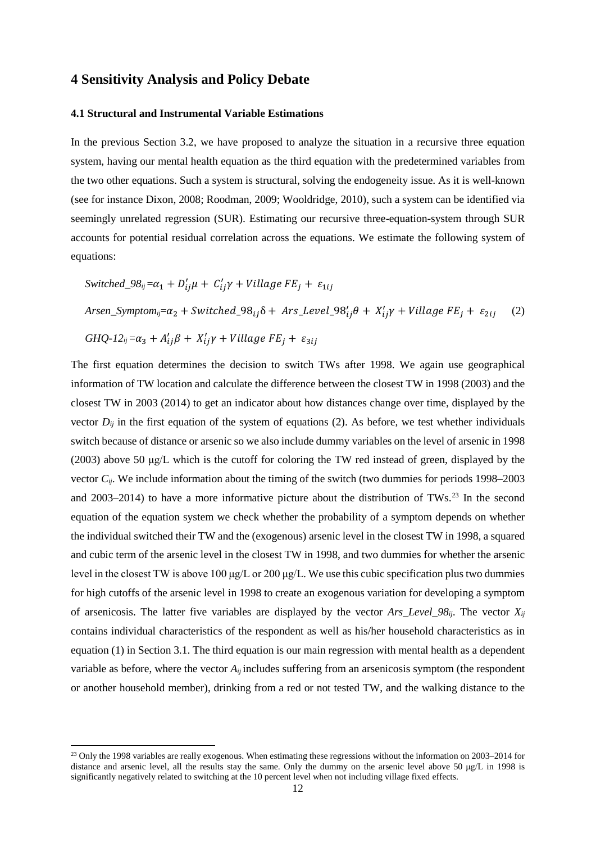## **4 Sensitivity Analysis and Policy Debate**

## **4.1 Structural and Instrumental Variable Estimations**

In the previous Section 3.2, we have proposed to analyze the situation in a recursive three equation system, having our mental health equation as the third equation with the predetermined variables from the two other equations. Such a system is structural, solving the endogeneity issue. As it is well-known (see for instance Dixon, 2008; Roodman, 2009; Wooldridge, 2010), such a system can be identified via seemingly unrelated regression (SUR). Estimating our recursive three-equation-system through SUR accounts for potential residual correlation across the equations. We estimate the following system of equations:

$$
Switched_98_{ij} = \alpha_1 + D'_{ij}\mu + C'_{ij}\gamma + Village FE_j + \varepsilon_{1ij}
$$
\n
$$
Arsen_Symptom_{ij} = \alpha_2 + Switched_98_{ij}\delta + Ars\_Level_98'_{ij}\theta + X'_{ij}\gamma + Village FE_j + \varepsilon_{2ij} \quad (2)
$$
\n
$$
GHQ-12_{ij} = \alpha_3 + A'_{ij}\beta + X'_{ij}\gamma + Village FE_j + \varepsilon_{3ij}
$$

The first equation determines the decision to switch TWs after 1998. We again use geographical information of TW location and calculate the difference between the closest TW in 1998 (2003) and the closest TW in 2003 (2014) to get an indicator about how distances change over time, displayed by the vector  $D_{ij}$  in the first equation of the system of equations (2). As before, we test whether individuals switch because of distance or arsenic so we also include dummy variables on the level of arsenic in 1998 (2003) above 50 μg/L which is the cutoff for coloring the TW red instead of green, displayed by the vector *Cij*. We include information about the timing of the switch (two dummies for periods 1998–2003 and 2003–2014) to have a more informative picture about the distribution of TWs.<sup>[23](#page-11-0)</sup> In the second equation of the equation system we check whether the probability of a symptom depends on whether the individual switched their TW and the (exogenous) arsenic level in the closest TW in 1998, a squared and cubic term of the arsenic level in the closest TW in 1998, and two dummies for whether the arsenic level in the closest TW is above 100 μg/L or 200 μg/L. We use this cubic specification plus two dummies for high cutoffs of the arsenic level in 1998 to create an exogenous variation for developing a symptom of arsenicosis. The latter five variables are displayed by the vector *Ars Level*  $98_{ii}$ . The vector  $X_{ii}$ contains individual characteristics of the respondent as well as his/her household characteristics as in equation (1) in Section 3.1. The third equation is our main regression with mental health as a dependent variable as before, where the vector  $A_{ii}$  includes suffering from an arsenicosis symptom (the respondent or another household member), drinking from a red or not tested TW, and the walking distance to the

 $\overline{a}$ 

<span id="page-11-0"></span><sup>&</sup>lt;sup>23</sup> Only the 1998 variables are really exogenous. When estimating these regressions without the information on 2003–2014 for distance and arsenic level, all the results stay the same. Only the dummy on the arsenic level above 50 μg/L in 1998 is significantly negatively related to switching at the 10 percent level when not including village fixed effects.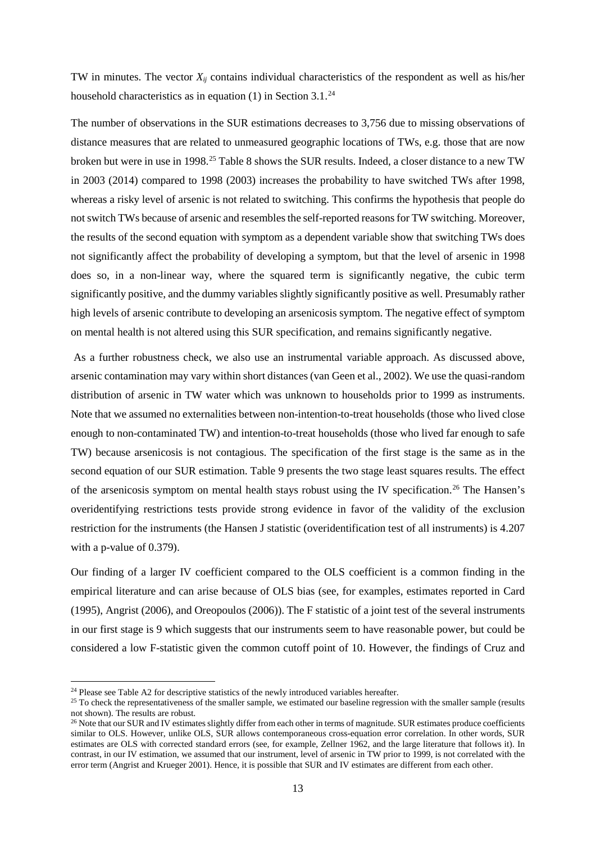TW in minutes. The vector  $X_{ij}$  contains individual characteristics of the respondent as well as his/her household characteristics as in equation (1) in Section 3.1.<sup>[24](#page-12-0)</sup>

The number of observations in the SUR estimations decreases to 3,756 due to missing observations of distance measures that are related to unmeasured geographic locations of TWs, e.g. those that are now broken but were in use in 1998.<sup>[25](#page-12-1)</sup> Table 8 shows the SUR results. Indeed, a closer distance to a new TW in 2003 (2014) compared to 1998 (2003) increases the probability to have switched TWs after 1998, whereas a risky level of arsenic is not related to switching. This confirms the hypothesis that people do not switch TWs because of arsenic and resembles the self-reported reasons for TW switching. Moreover, the results of the second equation with symptom as a dependent variable show that switching TWs does not significantly affect the probability of developing a symptom, but that the level of arsenic in 1998 does so, in a non-linear way, where the squared term is significantly negative, the cubic term significantly positive, and the dummy variables slightly significantly positive as well. Presumably rather high levels of arsenic contribute to developing an arsenicosis symptom. The negative effect of symptom on mental health is not altered using this SUR specification, and remains significantly negative.

As a further robustness check, we also use an instrumental variable approach. As discussed above, arsenic contamination may vary within short distances (van Geen et al., 2002). We use the quasi-random distribution of arsenic in TW water which was unknown to households prior to 1999 as instruments. Note that we assumed no externalities between non-intention-to-treat households (those who lived close enough to non-contaminated TW) and intention-to-treat households (those who lived far enough to safe TW) because arsenicosis is not contagious. The specification of the first stage is the same as in the second equation of our SUR estimation. Table 9 presents the two stage least squares results. The effect of the arsenicosis symptom on mental health stays robust using the IV specification.[26](#page-12-2) The Hansen's overidentifying restrictions tests provide strong evidence in favor of the validity of the exclusion restriction for the instruments (the Hansen J statistic (overidentification test of all instruments) is 4.207 with a p-value of 0.379).

Our finding of a larger IV coefficient compared to the OLS coefficient is a common finding in the empirical literature and can arise because of OLS bias (see, for examples, estimates reported in Card (1995), Angrist (2006), and Oreopoulos (2006)). The F statistic of a joint test of the several instruments in our first stage is 9 which suggests that our instruments seem to have reasonable power, but could be considered a low F-statistic given the common cutoff point of 10. However, the findings of Cruz and

l

<span id="page-12-0"></span> $24$  Please see Table A2 for descriptive statistics of the newly introduced variables hereafter.

<span id="page-12-1"></span> $25$  To check the representativeness of the smaller sample, we estimated our baseline regression with the smaller sample (results not shown). The results are robust.<br><sup>26</sup> Note that our SUR and IV estimates slightly differ from each other in terms of magnitude. SUR estimates produce coefficients

<span id="page-12-2"></span>similar to OLS. However, unlike OLS, SUR allows contemporaneous cross-equation error correlation. In other words, SUR estimates are OLS with corrected standard errors (see, for example, Zellner 1962, and the large literature that follows it). In contrast, in our IV estimation, we assumed that our instrument, level of arsenic in TW prior to 1999, is not correlated with the error term (Angrist and Krueger 2001). Hence, it is possible that SUR and IV estimates are different from each other.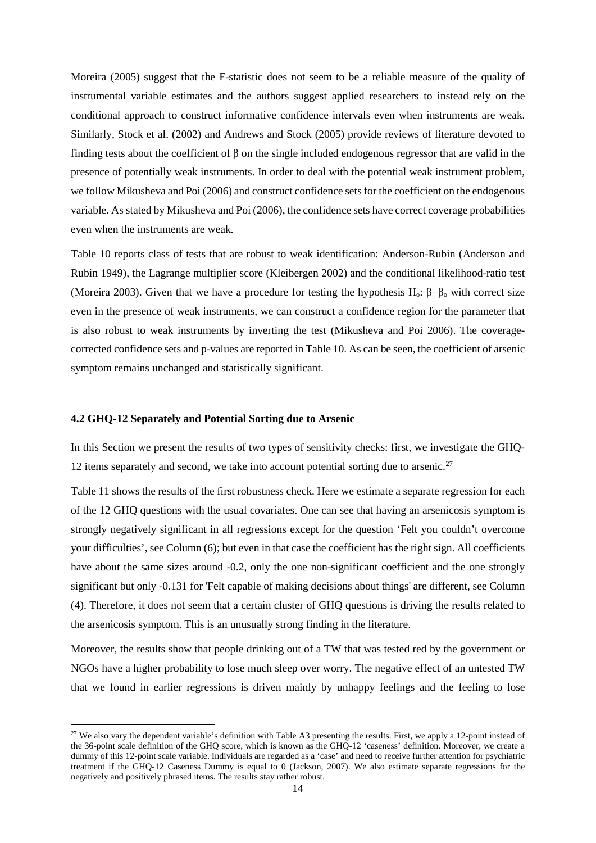Moreira (2005) suggest that the F-statistic does not seem to be a reliable measure of the quality of instrumental variable estimates and the authors suggest applied researchers to instead rely on the conditional approach to construct informative confidence intervals even when instruments are weak. Similarly, Stock et al. (2002) and Andrews and Stock (2005) provide reviews of literature devoted to finding tests about the coefficient of  $\beta$  on the single included endogenous regressor that are valid in the presence of potentially weak instruments. In order to deal with the potential weak instrument problem, we follow Mikusheva and Poi (2006) and construct confidence sets for the coefficient on the endogenous variable. As stated by Mikusheva and Poi (2006), the confidence sets have correct coverage probabilities even when the instruments are weak.

Table 10 reports class of tests that are robust to weak identification: Anderson-Rubin (Anderson and Rubin 1949), the Lagrange multiplier score (Kleibergen 2002) and the conditional likelihood-ratio test (Moreira 2003). Given that we have a procedure for testing the hypothesis H<sub>o</sub>:  $\beta = \beta_0$  with correct size even in the presence of weak instruments, we can construct a confidence region for the parameter that is also robust to weak instruments by inverting the test (Mikusheva and Poi 2006). The coveragecorrected confidence sets and p-values are reported in Table 10. As can be seen, the coefficient of arsenic symptom remains unchanged and statistically significant.

#### **4.2 GHQ-12 Separately and Potential Sorting due to Arsenic**

 $\overline{a}$ 

In this Section we present the results of two types of sensitivity checks: first, we investigate the GHQ-12 items separately and second, we take into account potential sorting due to arsenic.<sup>27</sup>

Table 11 shows the results of the first robustness check. Here we estimate a separate regression for each of the 12 GHQ questions with the usual covariates. One can see that having an arsenicosis symptom is strongly negatively significant in all regressions except for the question 'Felt you couldn't overcome your difficulties', see Column (6); but even in that case the coefficient has the right sign. All coefficients have about the same sizes around -0.2, only the one non-significant coefficient and the one strongly significant but only -0.131 for 'Felt capable of making decisions about things' are different, see Column (4). Therefore, it does not seem that a certain cluster of GHQ questions is driving the results related to the arsenicosis symptom. This is an unusually strong finding in the literature.

Moreover, the results show that people drinking out of a TW that was tested red by the government or NGOs have a higher probability to lose much sleep over worry. The negative effect of an untested TW that we found in earlier regressions is driven mainly by unhappy feelings and the feeling to lose

<span id="page-13-0"></span><sup>&</sup>lt;sup>27</sup> We also vary the dependent variable's definition with Table A3 presenting the results. First, we apply a 12-point instead of the 36-point scale definition of the GHQ score, which is known as the GHQ-12 'caseness' definition. Moreover, we create a dummy of this 12-point scale variable. Individuals are regarded as a 'case' and need to receive further attention for psychiatric treatment if the GHQ-12 Caseness Dummy is equal to 0 (Jackson, 2007). We also estimate separate regressions for the negatively and positively phrased items. The results stay rather robust.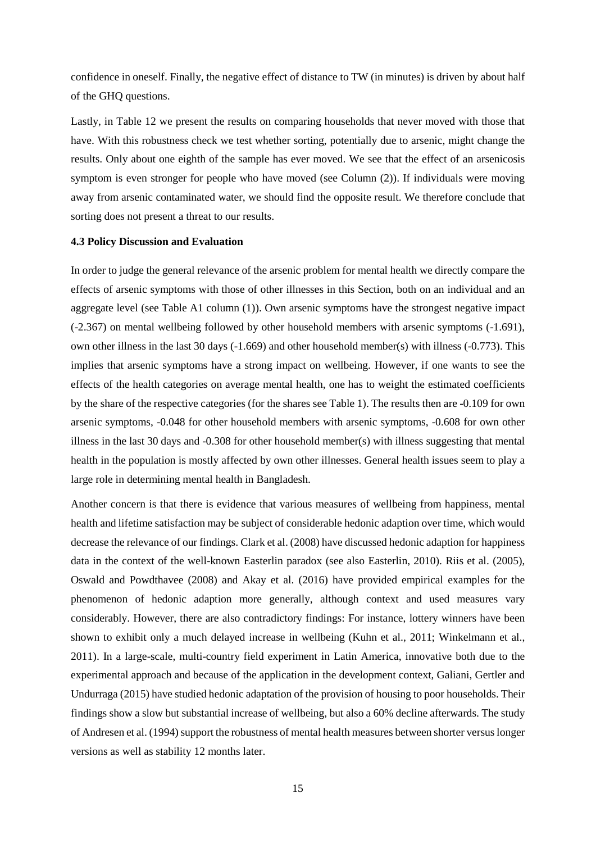confidence in oneself. Finally, the negative effect of distance to TW (in minutes) is driven by about half of the GHQ questions.

Lastly, in Table 12 we present the results on comparing households that never moved with those that have. With this robustness check we test whether sorting, potentially due to arsenic, might change the results. Only about one eighth of the sample has ever moved. We see that the effect of an arsenicosis symptom is even stronger for people who have moved (see Column (2)). If individuals were moving away from arsenic contaminated water, we should find the opposite result. We therefore conclude that sorting does not present a threat to our results.

#### **4.3 Policy Discussion and Evaluation**

In order to judge the general relevance of the arsenic problem for mental health we directly compare the effects of arsenic symptoms with those of other illnesses in this Section, both on an individual and an aggregate level (see Table A1 column (1)). Own arsenic symptoms have the strongest negative impact (-2.367) on mental wellbeing followed by other household members with arsenic symptoms (-1.691), own other illness in the last 30 days (-1.669) and other household member(s) with illness (-0.773). This implies that arsenic symptoms have a strong impact on wellbeing. However, if one wants to see the effects of the health categories on average mental health, one has to weight the estimated coefficients by the share of the respective categories (for the shares see Table 1). The results then are -0.109 for own arsenic symptoms, -0.048 for other household members with arsenic symptoms, -0.608 for own other illness in the last 30 days and -0.308 for other household member(s) with illness suggesting that mental health in the population is mostly affected by own other illnesses. General health issues seem to play a large role in determining mental health in Bangladesh.

Another concern is that there is evidence that various measures of wellbeing from happiness, mental health and lifetime satisfaction may be subject of considerable hedonic adaption over time, which would decrease the relevance of our findings. Clark et al. (2008) have discussed hedonic adaption for happiness data in the context of the well-known Easterlin paradox (see also Easterlin, 2010). Riis et al. (2005), Oswald and Powdthavee (2008) and Akay et al. (2016) have provided empirical examples for the phenomenon of hedonic adaption more generally, although context and used measures vary considerably. However, there are also contradictory findings: For instance, lottery winners have been shown to exhibit only a much delayed increase in wellbeing (Kuhn et al., 2011; Winkelmann et al., 2011). In a large-scale, multi-country field experiment in Latin America, innovative both due to the experimental approach and because of the application in the development context, Galiani, Gertler and Undurraga (2015) have studied hedonic adaptation of the provision of housing to poor households. Their findings show a slow but substantial increase of wellbeing, but also a 60% decline afterwards. The study of Andresen et al. (1994) support the robustness of mental health measures between shorter versus longer versions as well as stability 12 months later.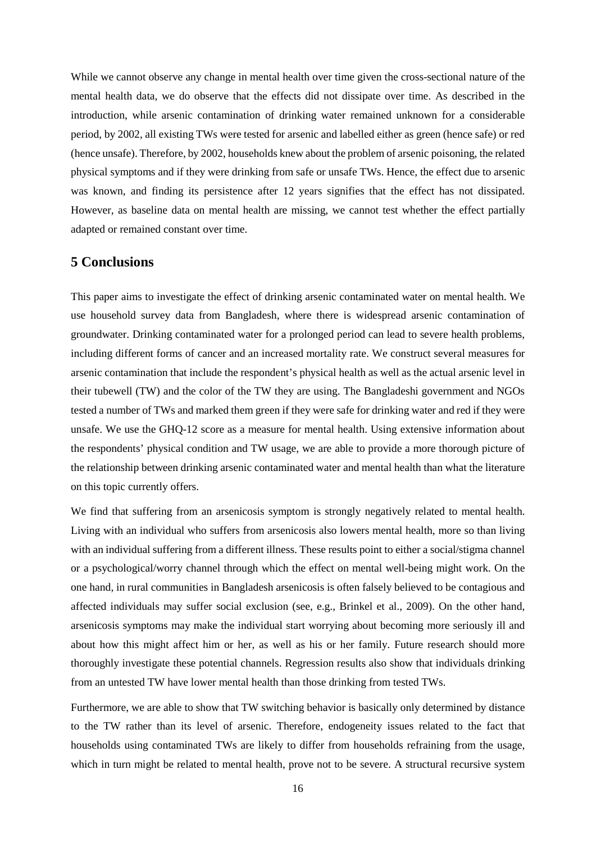While we cannot observe any change in mental health over time given the cross-sectional nature of the mental health data, we do observe that the effects did not dissipate over time. As described in the introduction, while arsenic contamination of drinking water remained unknown for a considerable period, by 2002, all existing TWs were tested for arsenic and labelled either as green (hence safe) or red (hence unsafe). Therefore, by 2002, households knew about the problem of arsenic poisoning, the related physical symptoms and if they were drinking from safe or unsafe TWs. Hence, the effect due to arsenic was known, and finding its persistence after 12 years signifies that the effect has not dissipated. However, as baseline data on mental health are missing, we cannot test whether the effect partially adapted or remained constant over time.

## **5 Conclusions**

This paper aims to investigate the effect of drinking arsenic contaminated water on mental health. We use household survey data from Bangladesh, where there is widespread arsenic contamination of groundwater. Drinking contaminated water for a prolonged period can lead to severe health problems, including different forms of cancer and an increased mortality rate. We construct several measures for arsenic contamination that include the respondent's physical health as well as the actual arsenic level in their tubewell (TW) and the color of the TW they are using. The Bangladeshi government and NGOs tested a number of TWs and marked them green if they were safe for drinking water and red if they were unsafe. We use the GHQ-12 score as a measure for mental health. Using extensive information about the respondents' physical condition and TW usage, we are able to provide a more thorough picture of the relationship between drinking arsenic contaminated water and mental health than what the literature on this topic currently offers.

We find that suffering from an arsenicosis symptom is strongly negatively related to mental health. Living with an individual who suffers from arsenicosis also lowers mental health, more so than living with an individual suffering from a different illness. These results point to either a social/stigma channel or a psychological/worry channel through which the effect on mental well-being might work. On the one hand, in rural communities in Bangladesh arsenicosis is often falsely believed to be contagious and affected individuals may suffer social exclusion (see, e.g., Brinkel et al., 2009). On the other hand, arsenicosis symptoms may make the individual start worrying about becoming more seriously ill and about how this might affect him or her, as well as his or her family. Future research should more thoroughly investigate these potential channels. Regression results also show that individuals drinking from an untested TW have lower mental health than those drinking from tested TWs.

Furthermore, we are able to show that TW switching behavior is basically only determined by distance to the TW rather than its level of arsenic. Therefore, endogeneity issues related to the fact that households using contaminated TWs are likely to differ from households refraining from the usage, which in turn might be related to mental health, prove not to be severe. A structural recursive system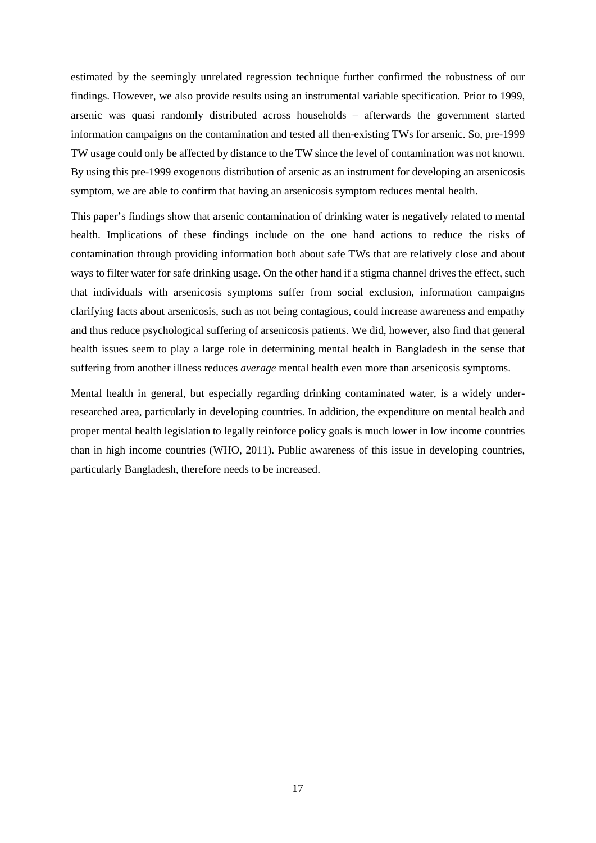estimated by the seemingly unrelated regression technique further confirmed the robustness of our findings. However, we also provide results using an instrumental variable specification. Prior to 1999, arsenic was quasi randomly distributed across households – afterwards the government started information campaigns on the contamination and tested all then-existing TWs for arsenic. So, pre-1999 TW usage could only be affected by distance to the TW since the level of contamination was not known. By using this pre-1999 exogenous distribution of arsenic as an instrument for developing an arsenicosis symptom, we are able to confirm that having an arsenicosis symptom reduces mental health.

This paper's findings show that arsenic contamination of drinking water is negatively related to mental health. Implications of these findings include on the one hand actions to reduce the risks of contamination through providing information both about safe TWs that are relatively close and about ways to filter water for safe drinking usage. On the other hand if a stigma channel drives the effect, such that individuals with arsenicosis symptoms suffer from social exclusion, information campaigns clarifying facts about arsenicosis, such as not being contagious, could increase awareness and empathy and thus reduce psychological suffering of arsenicosis patients. We did, however, also find that general health issues seem to play a large role in determining mental health in Bangladesh in the sense that suffering from another illness reduces *average* mental health even more than arsenicosis symptoms.

Mental health in general, but especially regarding drinking contaminated water, is a widely underresearched area, particularly in developing countries. In addition, the expenditure on mental health and proper mental health legislation to legally reinforce policy goals is much lower in low income countries than in high income countries (WHO, 2011). Public awareness of this issue in developing countries, particularly Bangladesh, therefore needs to be increased.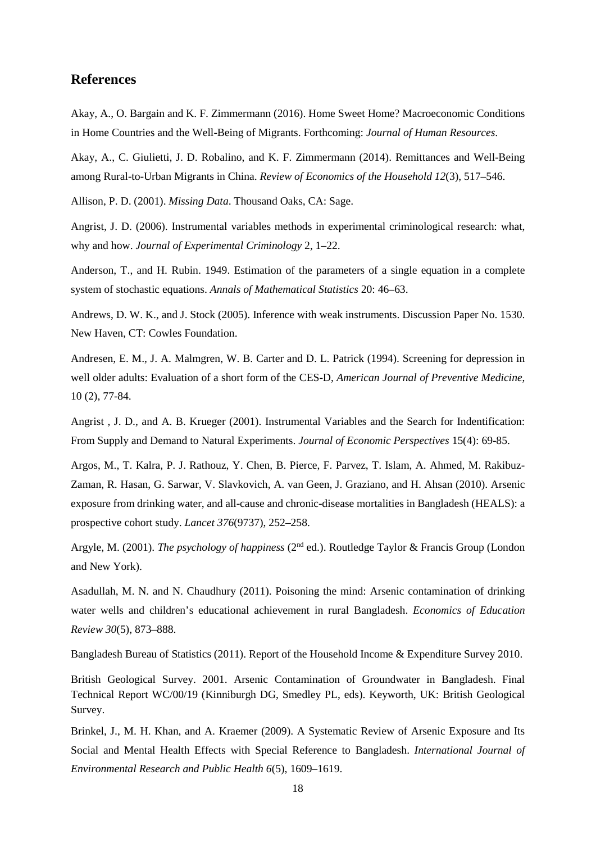## **References**

Akay, A., O. Bargain and K. F. Zimmermann (2016). Home Sweet Home? Macroeconomic Conditions in Home Countries and the Well-Being of Migrants. Forthcoming: *Journal of Human Resources*.

Akay, A., C. Giulietti, J. D. Robalino, and K. F. Zimmermann (2014). Remittances and Well-Being among Rural-to-Urban Migrants in China. *Review of Economics of the Household 12*(3), 517–546.

Allison, P. D. (2001). *Missing Data*. Thousand Oaks, CA: Sage.

Angrist, J. D. (2006). Instrumental variables methods in experimental criminological research: what, why and how. *Journal of Experimental Criminology* 2, 1–22.

Anderson, T., and H. Rubin. 1949. Estimation of the parameters of a single equation in a complete system of stochastic equations. *Annals of Mathematical Statistics* 20: 46–63.

Andrews, D. W. K., and J. Stock (2005). Inference with weak instruments. Discussion Paper No. 1530. New Haven, CT: Cowles Foundation.

Andresen, E. M., J. A. Malmgren, W. B. Carter and D. L. Patrick (1994). Screening for depression in well older adults: Evaluation of a short form of the CES-D, *American Journal of Preventive Medicine*, 10 (2), 77-84.

Angrist , J. D., and A. B. Krueger (2001). Instrumental Variables and the Search for Indentification: From Supply and Demand to Natural Experiments. *Journal of Economic Perspectives* 15(4): 69-85.

Argos, M., T. Kalra, P. J. Rathouz, Y. Chen, B. Pierce, F. Parvez, T. Islam, A. Ahmed, M. Rakibuz-Zaman, R. Hasan, G. Sarwar, V. Slavkovich, A. van Geen, J. Graziano, and H. Ahsan (2010). Arsenic exposure from drinking water, and all-cause and chronic-disease mortalities in Bangladesh (HEALS): a prospective cohort study. *Lancet 376*(9737), 252–258.

Argyle, M. (2001). *The psychology of happiness* (2nd ed.). Routledge Taylor & Francis Group (London and New York).

Asadullah, M. N. and N. Chaudhury (2011). Poisoning the mind: Arsenic contamination of drinking water wells and children's educational achievement in rural Bangladesh. *Economics of Education Review 30*(5), 873–888.

Bangladesh Bureau of Statistics (2011). Report of the Household Income & Expenditure Survey 2010.

British Geological Survey. 2001. Arsenic Contamination of Groundwater in Bangladesh. Final Technical Report WC/00/19 (Kinniburgh DG, Smedley PL, eds). Keyworth, UK: British Geological Survey.

Brinkel, J., M. H. Khan, and A. Kraemer (2009). A Systematic Review of Arsenic Exposure and Its Social and Mental Health Effects with Special Reference to Bangladesh. *International Journal of Environmental Research and Public Health 6*(5), 1609–1619.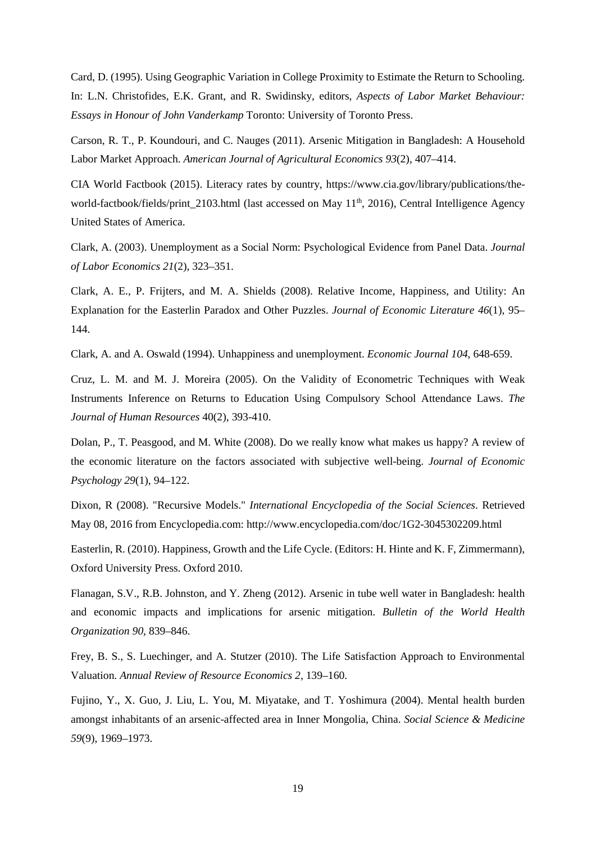Card, D. (1995). Using Geographic Variation in College Proximity to Estimate the Return to Schooling. In: L.N. Christofides, E.K. Grant, and R. Swidinsky, editors, *Aspects of Labor Market Behaviour: Essays in Honour of John Vanderkamp* Toronto: University of Toronto Press.

Carson, R. T., P. Koundouri, and C. Nauges (2011). Arsenic Mitigation in Bangladesh: A Household Labor Market Approach. *American Journal of Agricultural Economics 93*(2), 407–414.

CIA World Factbook (2015). Literacy rates by country, https://www.cia.gov/library/publications/theworld-factbook/fields/print\_2103.html (last accessed on May 11<sup>th</sup>, 2016), Central Intelligence Agency United States of America.

Clark, A. (2003). Unemployment as a Social Norm: Psychological Evidence from Panel Data. *Journal of Labor Economics 21*(2), 323–351.

Clark, A. E., P. Frijters, and M. A. Shields (2008). Relative Income, Happiness, and Utility: An Explanation for the Easterlin Paradox and Other Puzzles. *Journal of Economic Literature 46*(1), 95– 144.

Clark, A. and A. Oswald (1994). Unhappiness and unemployment. *Economic Journal 104*, 648-659.

Cruz, L. M. and M. J. Moreira (2005). On the Validity of Econometric Techniques with Weak Instruments Inference on Returns to Education Using Compulsory School Attendance Laws. *The Journal of Human Resources* 40(2), 393-410.

Dolan, P., T. Peasgood, and M. White (2008). Do we really know what makes us happy? A review of the economic literature on the factors associated with subjective well-being. *Journal of Economic Psychology 29*(1), 94–122.

Dixon, R (2008). "Recursive Models." *International Encyclopedia of the Social Sciences*. Retrieved May 08, 2016 from Encyclopedia.com: http://www.encyclopedia.com/doc/1G2-3045302209.html

Easterlin, R. (2010). Happiness, Growth and the Life Cycle. (Editors: H. Hinte and K. F, Zimmermann), Oxford University Press. Oxford 2010.

Flanagan, S.V., R.B. Johnston, and Y. Zheng (2012). Arsenic in tube well water in Bangladesh: health and economic impacts and implications for arsenic mitigation. *Bulletin of the World Health Organization 90*, 839–846.

Frey, B. S., S. Luechinger, and A. Stutzer (2010). The Life Satisfaction Approach to Environmental Valuation. *Annual Review of Resource Economics 2*, 139–160.

Fujino, Y., X. Guo, J. Liu, L. You, M. Miyatake, and T. Yoshimura (2004). Mental health burden amongst inhabitants of an arsenic-affected area in Inner Mongolia, China. *Social Science & Medicine 59*(9), 1969–1973.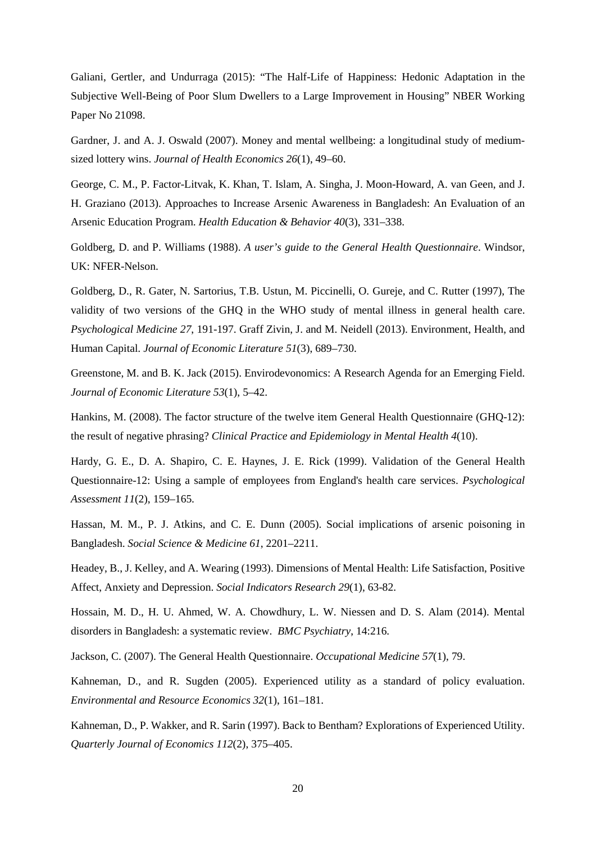Galiani, Gertler, and Undurraga (2015): "The Half-Life of Happiness: Hedonic Adaptation in the Subjective Well-Being of Poor Slum Dwellers to a Large Improvement in Housing" NBER Working Paper No 21098.

Gardner, J. and A. J. Oswald (2007). Money and mental wellbeing: a longitudinal study of mediumsized lottery wins. *Journal of Health Economics 26*(1), 49–60.

George, C. M., P. Factor-Litvak, K. Khan, T. Islam, A. Singha, J. Moon-Howard, A. van Geen, and J. H. Graziano (2013). Approaches to Increase Arsenic Awareness in Bangladesh: An Evaluation of an Arsenic Education Program. *Health Education & Behavior 40*(3), 331–338.

Goldberg, D. and P. Williams (1988). *A user's guide to the General Health Questionnaire*. Windsor, UK: NFER-Nelson.

Goldberg, D., R. Gater, N. Sartorius, T.B. Ustun, M. Piccinelli, O. Gureje, and C. Rutter (1997), The validity of two versions of the GHQ in the WHO study of mental illness in general health care. *Psychological Medicine 27*, 191-197. Graff Zivin, J. and M. Neidell (2013). Environment, Health, and Human Capital. *Journal of Economic Literature 51*(3), 689–730.

Greenstone, M. and B. K. Jack (2015). Envirodevonomics: A Research Agenda for an Emerging Field. *Journal of Economic Literature 53*(1), 5–42.

Hankins, M. (2008). The factor structure of the twelve item General Health Questionnaire (GHQ-12): the result of negative phrasing? *Clinical Practice and Epidemiology in Mental Health 4*(10).

Hardy, G. E., D. A. Shapiro, C. E. Haynes, J. E. Rick (1999). Validation of the General Health Questionnaire-12: Using a sample of employees from England's health care services. *Psychological Assessment 11*(2), 159–165.

Hassan, M. M., P. J. Atkins, and C. E. Dunn (2005). Social implications of arsenic poisoning in Bangladesh. *Social Science & Medicine 61*, 2201–2211.

Headey, B., J. Kelley, and A. Wearing (1993). Dimensions of Mental Health: Life Satisfaction, Positive Affect, Anxiety and Depression. *Social Indicators Research 29*(1), 63-82.

Hossain, M. D., H. U. Ahmed, W. A. Chowdhury, L. W. Niessen and D. S. Alam (2014). Mental disorders in Bangladesh: a systematic review. *BMC Psychiatry*, 14:216.

Jackson, C. (2007). The General Health Questionnaire. *Occupational Medicine 57*(1), 79.

Kahneman, D., and R. Sugden (2005). Experienced utility as a standard of policy evaluation. *Environmental and Resource Economics 32*(1), 161–181.

Kahneman, D., P. Wakker, and R. Sarin (1997). Back to Bentham? Explorations of Experienced Utility. *Quarterly Journal of Economics 112*(2), 375–405.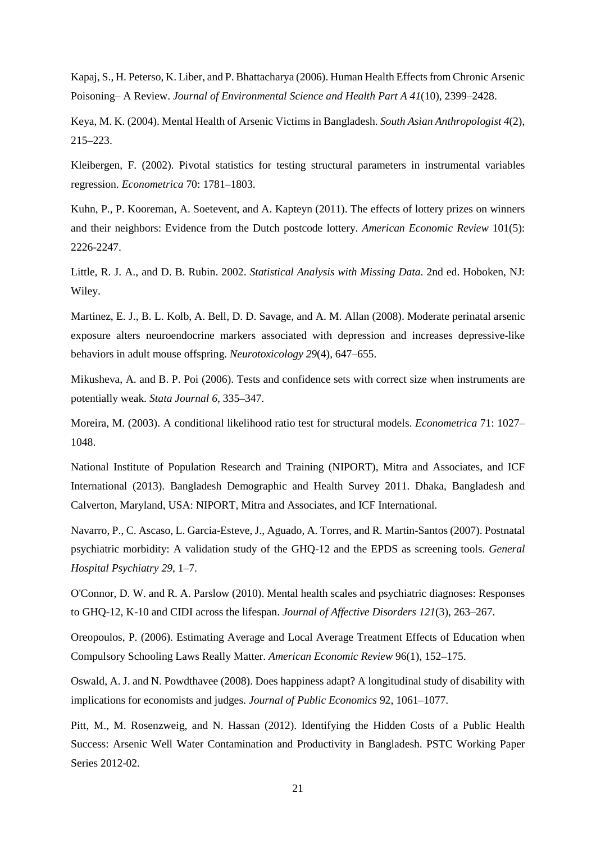Kapaj, S., H. Peterso, K. Liber, and P. Bhattacharya (2006). Human Health Effects from Chronic Arsenic Poisoning– A Review. *Journal of Environmental Science and Health Part A 41*(10), 2399–2428.

Keya, M. K. (2004). Mental Health of Arsenic Victims in Bangladesh. *South Asian Anthropologist 4*(2), 215–223.

Kleibergen, F. (2002). Pivotal statistics for testing structural parameters in instrumental variables regression. *Econometrica* 70: 1781–1803.

Kuhn, P., P. Kooreman, A. Soetevent, and A. Kapteyn (2011). The effects of lottery prizes on winners and their neighbors: Evidence from the Dutch postcode lottery. *American Economic Review* 101(5): 2226-2247.

Little, R. J. A., and D. B. Rubin. 2002. *Statistical Analysis with Missing Data*. 2nd ed. Hoboken, NJ: Wiley.

Martinez, E. J., B. L. Kolb, A. Bell, D. D. Savage, and A. M. Allan (2008). Moderate perinatal arsenic exposure alters neuroendocrine markers associated with depression and increases depressive-like behaviors in adult mouse offspring. *Neurotoxicology 29*(4), 647–655.

Mikusheva, A. and B. P. Poi (2006). Tests and confidence sets with correct size when instruments are potentially weak. *Stata Journal 6*, 335–347.

Moreira, M. (2003). A conditional likelihood ratio test for structural models. *Econometrica* 71: 1027– 1048.

National Institute of Population Research and Training (NIPORT), Mitra and Associates, and ICF International (2013). Bangladesh Demographic and Health Survey 2011. Dhaka, Bangladesh and Calverton, Maryland, USA: NIPORT, Mitra and Associates, and ICF International.

Navarro, P., C. Ascaso, L. Garcia-Esteve, J., Aguado, A. Torres, and R. Martin-Santos (2007). Postnatal psychiatric morbidity: A validation study of the GHQ-12 and the EPDS as screening tools. *General Hospital Psychiatry 29*, 1–7.

O'Connor, D. W. and R. A. Parslow (2010). Mental health scales and psychiatric diagnoses: Responses to GHQ-12, K-10 and CIDI across the lifespan. *Journal of Affective Disorders 121*(3), 263–267.

Oreopoulos, P. (2006). Estimating Average and Local Average Treatment Effects of Education when Compulsory Schooling Laws Really Matter. *American Economic Review* 96(1), 152–175.

Oswald, A. J. and N. Powdthavee (2008). Does happiness adapt? A longitudinal study of disability with implications for economists and judges. *Journal of Public Economics* 92, 1061–1077.

Pitt, M., M. Rosenzweig, and N. Hassan (2012). Identifying the Hidden Costs of a Public Health Success: Arsenic Well Water Contamination and Productivity in Bangladesh. PSTC Working Paper Series 2012-02.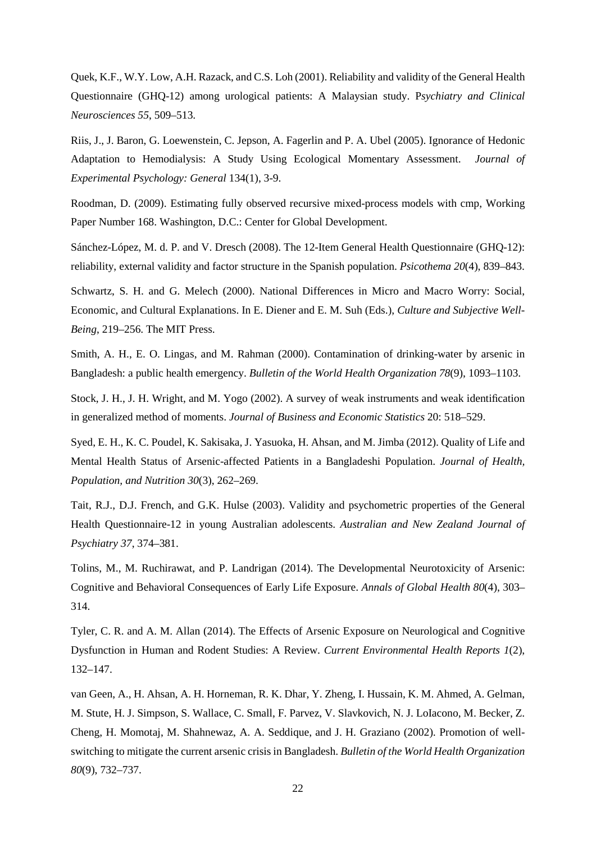Quek, K.F., W.Y. Low, A.H. Razack, and C.S. Loh (2001). Reliability and validity of the General Health Questionnaire (GHQ-12) among urological patients: A Malaysian study. P*sychiatry and Clinical Neurosciences 55*, 509–513.

Riis, J., J. Baron, G. Loewenstein, C. Jepson, A. Fagerlin and P. A. Ubel (2005). Ignorance of Hedonic Adaptation to Hemodialysis: A Study Using Ecological Momentary Assessment. *Journal of Experimental Psychology: General* 134(1), 3-9.

Roodman, D. (2009). Estimating fully observed recursive mixed-process models with cmp, Working Paper Number 168. Washington, D.C.: Center for Global Development.

Sánchez-López, M. d. P. and V. Dresch (2008). The 12-Item General Health Questionnaire (GHQ-12): reliability, external validity and factor structure in the Spanish population. *Psicothema 20*(4), 839–843.

Schwartz, S. H. and G. Melech (2000). National Differences in Micro and Macro Worry: Social, Economic, and Cultural Explanations. In E. Diener and E. M. Suh (Eds.), *Culture and Subjective Well-Being*, 219–256. The MIT Press.

Smith, A. H., E. O. Lingas, and M. Rahman (2000). Contamination of drinking-water by arsenic in Bangladesh: a public health emergency. *Bulletin of the World Health Organization 78*(9), 1093–1103.

Stock, J. H., J. H. Wright, and M. Yogo (2002). A survey of weak instruments and weak identification in generalized method of moments. *Journal of Business and Economic Statistics* 20: 518–529.

Syed, E. H., K. C. Poudel, K. Sakisaka, J. Yasuoka, H. Ahsan, and M. Jimba (2012). Quality of Life and Mental Health Status of Arsenic-affected Patients in a Bangladeshi Population. *Journal of Health, Population, and Nutrition 30*(3), 262–269.

Tait, R.J., D.J. French, and G.K. Hulse (2003). Validity and psychometric properties of the General Health Questionnaire-12 in young Australian adolescents. *Australian and New Zealand Journal of Psychiatry 37*, 374–381.

Tolins, M., M. Ruchirawat, and P. Landrigan (2014). The Developmental Neurotoxicity of Arsenic: Cognitive and Behavioral Consequences of Early Life Exposure. *Annals of Global Health 80*(4), 303– 314.

Tyler, C. R. and A. M. Allan (2014). The Effects of Arsenic Exposure on Neurological and Cognitive Dysfunction in Human and Rodent Studies: A Review. *Current Environmental Health Reports 1*(2), 132–147.

van Geen, A., H. Ahsan, A. H. Horneman, R. K. Dhar, Y. Zheng, I. Hussain, K. M. Ahmed, A. Gelman, M. Stute, H. J. Simpson, S. Wallace, C. Small, F. Parvez, V. Slavkovich, N. J. LoIacono, M. Becker, Z. Cheng, H. Momotaj, M. Shahnewaz, A. A. Seddique, and J. H. Graziano (2002). Promotion of wellswitching to mitigate the current arsenic crisis in Bangladesh. *Bulletin of the World Health Organization 80*(9), 732–737.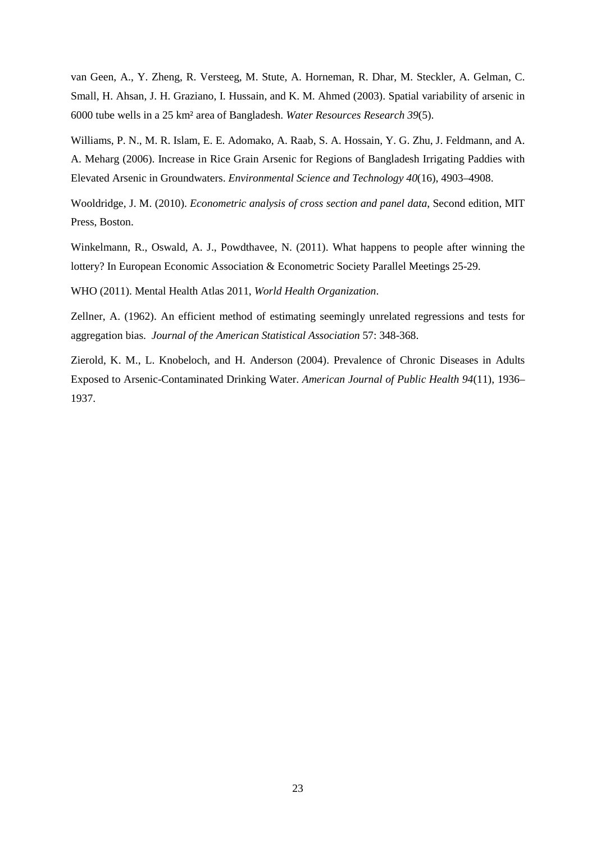van Geen, A., Y. Zheng, R. Versteeg, M. Stute, A. Horneman, R. Dhar, M. Steckler, A. Gelman, C. Small, H. Ahsan, J. H. Graziano, I. Hussain, and K. M. Ahmed (2003). Spatial variability of arsenic in 6000 tube wells in a 25 km² area of Bangladesh. *Water Resources Research 39*(5).

Williams, P. N., M. R. Islam, E. E. Adomako, A. Raab, S. A. Hossain, Y. G. Zhu, J. Feldmann, and A. A. Meharg (2006). Increase in Rice Grain Arsenic for Regions of Bangladesh Irrigating Paddies with Elevated Arsenic in Groundwaters. *Environmental Science and Technology 40*(16), 4903–4908.

Wooldridge, J. M. (2010). *Econometric analysis of cross section and panel data*, Second edition, MIT Press, Boston.

Winkelmann, R., Oswald, A. J., Powdthavee, N. (2011). What happens to people after winning the lottery? In European Economic Association & Econometric Society Parallel Meetings 25-29.

WHO (2011). Mental Health Atlas 2011, *World Health Organization*.

Zellner, A. (1962). An efficient method of estimating seemingly unrelated regressions and tests for aggregation bias. *Journal of the American Statistical Association* 57: 348-368.

Zierold, K. M., L. Knobeloch, and H. Anderson (2004). Prevalence of Chronic Diseases in Adults Exposed to Arsenic-Contaminated Drinking Water. *American Journal of Public Health 94*(11), 1936– 1937.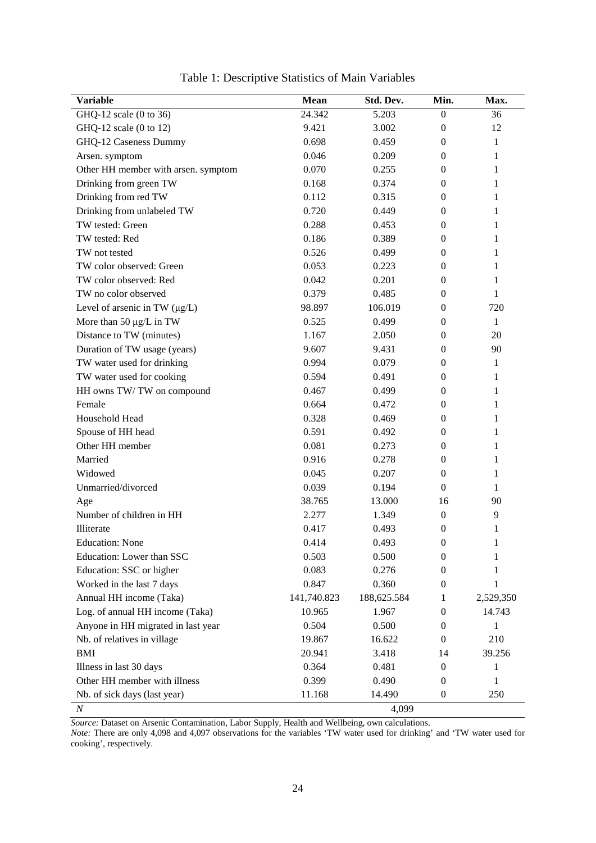| <b>Variable</b>                     | <b>Mean</b> | Std. Dev.   | Min.             | Max.      |
|-------------------------------------|-------------|-------------|------------------|-----------|
| GHQ-12 scale (0 to 36)              | 24.342      | 5.203       | $\boldsymbol{0}$ | 36        |
| GHQ-12 scale (0 to 12)              | 9.421       | 3.002       | $\theta$         | 12        |
| GHQ-12 Caseness Dummy               | 0.698       | 0.459       | $\theta$         | 1         |
| Arsen. symptom                      | 0.046       | 0.209       | $\theta$         | 1         |
| Other HH member with arsen. symptom | 0.070       | 0.255       | $\mathbf{0}$     | 1         |
| Drinking from green TW              | 0.168       | 0.374       | $\theta$         | 1         |
| Drinking from red TW                | 0.112       | 0.315       | $\theta$         | 1         |
| Drinking from unlabeled TW          | 0.720       | 0.449       | $\mathbf{0}$     | 1         |
| TW tested: Green                    | 0.288       | 0.453       | $\theta$         | 1         |
| TW tested: Red                      | 0.186       | 0.389       | $\theta$         | 1         |
| TW not tested                       | 0.526       | 0.499       | $\mathbf{0}$     | 1         |
| TW color observed: Green            | 0.053       | 0.223       | $\mathbf{0}$     | 1         |
| TW color observed: Red              | 0.042       | 0.201       | $\theta$         | 1         |
| TW no color observed                | 0.379       | 0.485       | $\theta$         | 1         |
| Level of arsenic in TW $(\mu g/L)$  | 98.897      | 106.019     | $\mathbf{0}$     | 720       |
| More than 50 $\mu$ g/L in TW        | 0.525       | 0.499       | $\theta$         | 1         |
| Distance to TW (minutes)            | 1.167       | 2.050       | $\mathbf{0}$     | 20        |
| Duration of TW usage (years)        | 9.607       | 9.431       | $\mathbf{0}$     | 90        |
| TW water used for drinking          | 0.994       | 0.079       | $\theta$         | 1         |
| TW water used for cooking           | 0.594       | 0.491       | $\theta$         | 1         |
| HH owns TW/TW on compound           | 0.467       | 0.499       | $\mathbf{0}$     | 1         |
| Female                              | 0.664       | 0.472       | 0                | 1         |
| Household Head                      | 0.328       | 0.469       | $\theta$         | 1         |
| Spouse of HH head                   | 0.591       | 0.492       | $\theta$         | 1         |
| Other HH member                     | 0.081       | 0.273       | $\mathbf{0}$     | 1         |
| Married                             | 0.916       | 0.278       | $\theta$         | 1         |
| Widowed                             | 0.045       | 0.207       | $\theta$         | 1         |
| Unmarried/divorced                  | 0.039       | 0.194       | $\boldsymbol{0}$ | 1         |
| Age                                 | 38.765      | 13.000      | 16               | 90        |
| Number of children in HH            | 2.277       | 1.349       | $\boldsymbol{0}$ | 9         |
| Illiterate                          | 0.417       | 0.493       | $\theta$         | 1         |
| <b>Education:</b> None              | 0.414       | 0.493       | 0                | 1         |
| Education: Lower than SSC           | 0.503       | 0.500       | $\theta$         | 1         |
| Education: SSC or higher            | 0.083       | 0.276       | $\mathbf{0}$     | 1         |
| Worked in the last 7 days           | 0.847       | 0.360       | $\mathbf{0}$     | 1         |
| Annual HH income (Taka)             | 141,740.823 | 188,625.584 | 1                | 2,529,350 |
| Log. of annual HH income (Taka)     | 10.965      | 1.967       | $\mathbf{0}$     | 14.743    |
| Anyone in HH migrated in last year  | 0.504       | 0.500       | 0                | 1         |
| Nb. of relatives in village         | 19.867      | 16.622      | 0                | 210       |
| <b>BMI</b>                          | 20.941      | 3.418       | 14               | 39.256    |
| Illness in last 30 days             | 0.364       | 0.481       | $\mathbf{0}$     | 1         |
| Other HH member with illness        | 0.399       | 0.490       | 0                | 1         |
| Nb. of sick days (last year)        | 11.168      | 14.490      | $\mathbf{0}$     | 250       |
| $\cal N$                            |             | 4,099       |                  |           |

Table 1: Descriptive Statistics of Main Variables

*Source:* Dataset on Arsenic Contamination, Labor Supply, Health and Wellbeing, own calculations.

*Note:* There are only 4,098 and 4,097 observations for the variables 'TW water used for drinking' and 'TW water used for cooking', respectively.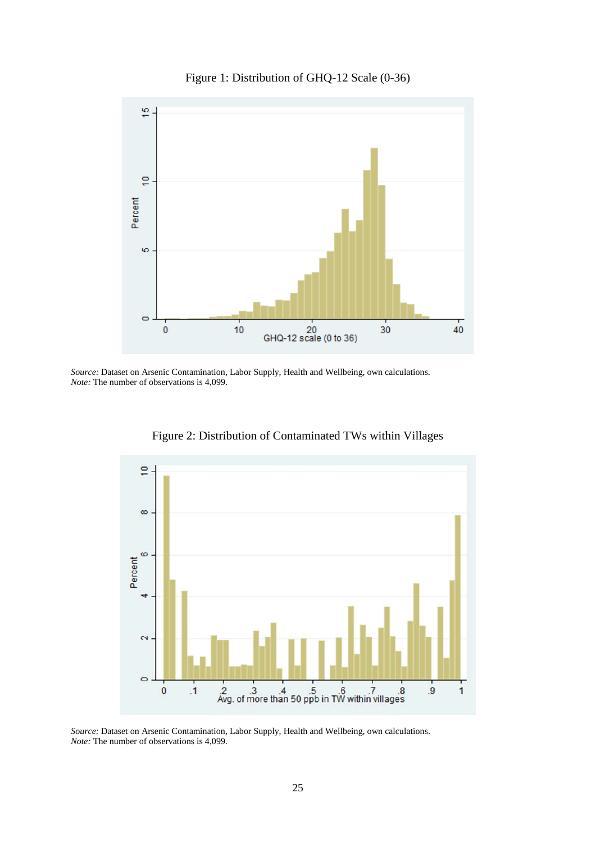

Figure 1: Distribution of GHQ-12 Scale (0-36)

*Source:* Dataset on Arsenic Contamination, Labor Supply, Health and Wellbeing, own calculations. *Note:* The number of observations is 4,099.



Figure 2: Distribution of Contaminated TWs within Villages

*Source:* Dataset on Arsenic Contamination, Labor Supply, Health and Wellbeing, own calculations. *Note:* The number of observations is 4,099.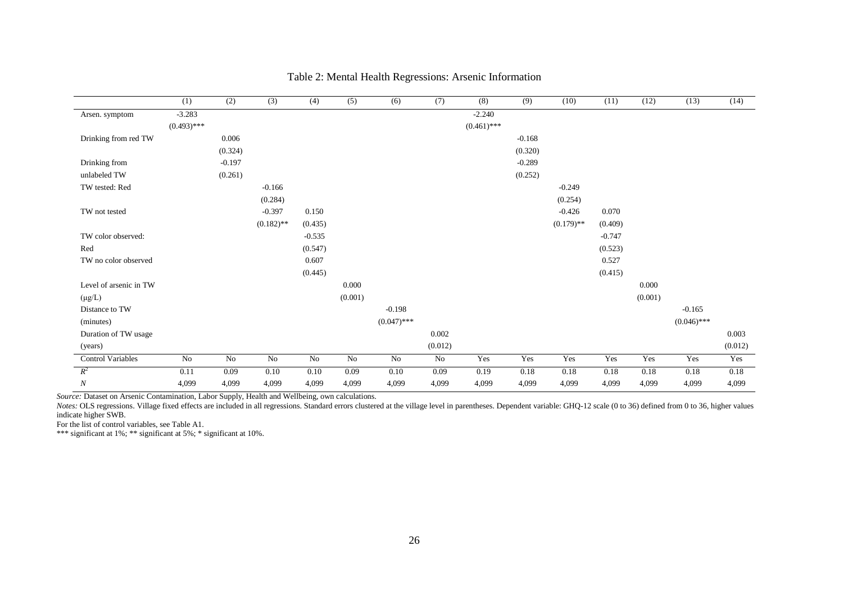|                          | (1)           | (2)      | (3)          | (4)      | (5)     | (6)           | (7)     | (8)           | (9)      | (10)         | (11)     | (12)    | (13)          | (14)    |
|--------------------------|---------------|----------|--------------|----------|---------|---------------|---------|---------------|----------|--------------|----------|---------|---------------|---------|
| Arsen. symptom           | $-3.283$      |          |              |          |         |               |         | $-2.240$      |          |              |          |         |               |         |
|                          | $(0.493)$ *** |          |              |          |         |               |         | $(0.461)$ *** |          |              |          |         |               |         |
| Drinking from red TW     |               | 0.006    |              |          |         |               |         |               | $-0.168$ |              |          |         |               |         |
|                          |               | (0.324)  |              |          |         |               |         |               | (0.320)  |              |          |         |               |         |
| Drinking from            |               | $-0.197$ |              |          |         |               |         |               | $-0.289$ |              |          |         |               |         |
| unlabeled TW             |               | (0.261)  |              |          |         |               |         |               | (0.252)  |              |          |         |               |         |
| TW tested: Red           |               |          | $-0.166$     |          |         |               |         |               |          | $-0.249$     |          |         |               |         |
|                          |               |          | (0.284)      |          |         |               |         |               |          | (0.254)      |          |         |               |         |
| TW not tested            |               |          | $-0.397$     | 0.150    |         |               |         |               |          | $-0.426$     | 0.070    |         |               |         |
|                          |               |          | $(0.182)$ ** | (0.435)  |         |               |         |               |          | $(0.179)$ ** | (0.409)  |         |               |         |
| TW color observed:       |               |          |              | $-0.535$ |         |               |         |               |          |              | $-0.747$ |         |               |         |
| Red                      |               |          |              | (0.547)  |         |               |         |               |          |              | (0.523)  |         |               |         |
| TW no color observed     |               |          |              | 0.607    |         |               |         |               |          |              | 0.527    |         |               |         |
|                          |               |          |              | (0.445)  |         |               |         |               |          |              | (0.415)  |         |               |         |
| Level of arsenic in TW   |               |          |              |          | 0.000   |               |         |               |          |              |          | 0.000   |               |         |
| $(\mu g/L)$              |               |          |              |          | (0.001) |               |         |               |          |              |          | (0.001) |               |         |
| Distance to TW           |               |          |              |          |         | $-0.198$      |         |               |          |              |          |         | $-0.165$      |         |
| (minutes)                |               |          |              |          |         | $(0.047)$ *** |         |               |          |              |          |         | $(0.046)$ *** |         |
| Duration of TW usage     |               |          |              |          |         |               | 0.002   |               |          |              |          |         |               | 0.003   |
| (years)                  |               |          |              |          |         |               | (0.012) |               |          |              |          |         |               | (0.012) |
| <b>Control Variables</b> | No            | No       | No           | $\rm No$ | No      | No            | No      | Yes           | Yes      | Yes          | Yes      | Yes     | Yes           | Yes     |
| $R^2$                    | 0.11          | 0.09     | 0.10         | 0.10     | 0.09    | 0.10          | 0.09    | 0.19          | 0.18     | 0.18         | 0.18     | 0.18    | 0.18          | 0.18    |
| $\boldsymbol{N}$         | 4,099         | 4,099    | 4,099        | 4,099    | 4,099   | 4,099         | 4,099   | 4,099         | 4,099    | 4,099        | 4,099    | 4,099   | 4,099         | 4,099   |

## Table 2: Mental Health Regressions: Arsenic Information

*Source:* Dataset on Arsenic Contamination, Labor Supply, Health and Wellbeing, own calculations.

Notes: OLS regressions. Village fixed effects are included in all regressions. Standard errors clustered at the village level in parentheses. Dependent variable: GHQ-12 scale (0 to 36) defined from 0 to 36, higher values indicate higher SWB.

For the list of control variables, see Table A1.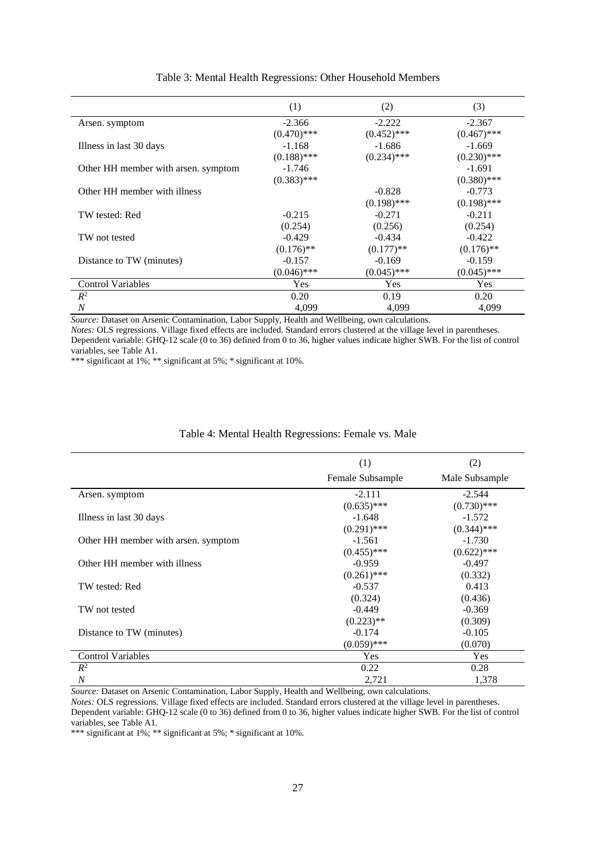|                                     | (1)           | (2)           | (3)           |
|-------------------------------------|---------------|---------------|---------------|
| Arsen. symptom                      | $-2.366$      | $-2.222$      | $-2.367$      |
|                                     | $(0.470)$ *** | $(0.452)$ *** | $(0.467)$ *** |
| Illness in last 30 days             | $-1.168$      | $-1.686$      | $-1.669$      |
|                                     | $(0.188)$ *** | $(0.234)$ *** | $(0.230)$ *** |
| Other HH member with arsen. symptom | $-1.746$      |               | $-1.691$      |
|                                     | $(0.383)$ *** |               | $(0.380)$ *** |
| Other HH member with illness        |               | $-0.828$      | $-0.773$      |
|                                     |               | $(0.198)$ *** | $(0.198)$ *** |
| TW tested: Red                      | $-0.215$      | $-0.271$      | $-0.211$      |
|                                     | (0.254)       | (0.256)       | (0.254)       |
| TW not tested                       | $-0.429$      | $-0.434$      | $-0.422$      |
|                                     | $(0.176)$ **  | $(0.177)$ **  | $(0.176)$ **  |
| Distance to TW (minutes)            | $-0.157$      | $-0.169$      | $-0.159$      |
|                                     | $(0.046)$ *** | $(0.045)$ *** | $(0.045)$ *** |
| <b>Control Variables</b>            | Yes           | Yes           | <b>Yes</b>    |
| $R^2$                               | 0.20          | 0.19          | 0.20          |
| N                                   | 4,099         | 4,099         | 4,099         |

### Table 3: Mental Health Regressions: Other Household Members

*Source:* Dataset on Arsenic Contamination, Labor Supply, Health and Wellbeing, own calculations.

*Notes:* OLS regressions. Village fixed effects are included. Standard errors clustered at the village level in parentheses. Dependent variable: GHQ-12 scale (0 to 36) defined from 0 to 36, higher values indicate higher SWB. For the list of control variables, see Table A1.

\*\*\* significant at 1%; \*\* significant at 5%; \* significant at 10%.

### Table 4: Mental Health Regressions: Female vs. Male

|                                     | (1)              | (2)            |
|-------------------------------------|------------------|----------------|
|                                     | Female Subsample | Male Subsample |
| Arsen. symptom                      | $-2.111$         | $-2.544$       |
|                                     | $(0.635)$ ***    | $(0.730)$ ***  |
| Illness in last 30 days             | $-1.648$         | $-1.572$       |
|                                     | $(0.291)$ ***    | $(0.344)$ ***  |
| Other HH member with arsen. symptom | $-1.561$         | $-1.730$       |
|                                     | $(0.455)$ ***    | $(0.622)$ ***  |
| Other HH member with illness        | $-0.959$         | $-0.497$       |
|                                     | $(0.261)$ ***    | (0.332)        |
| TW tested: Red                      | $-0.537$         | 0.413          |
|                                     | (0.324)          | (0.436)        |
| TW not tested                       | $-0.449$         | $-0.369$       |
|                                     | $(0.223)$ **     | (0.309)        |
| Distance to TW (minutes)            | $-0.174$         | $-0.105$       |
|                                     | $(0.059)$ ***    | (0.070)        |
| <b>Control Variables</b>            | <b>Yes</b>       | Yes            |
| $R^2$                               | 0.22             | 0.28           |
| $\overline{N}$                      | 2,721            | 1,378          |

*Source:* Dataset on Arsenic Contamination, Labor Supply, Health and Wellbeing, own calculations.

*Notes:* OLS regressions. Village fixed effects are included. Standard errors clustered at the village level in parentheses. Dependent variable: GHQ-12 scale (0 to 36) defined from 0 to 36, higher values indicate higher SWB. For the list of control variables, see Table A1.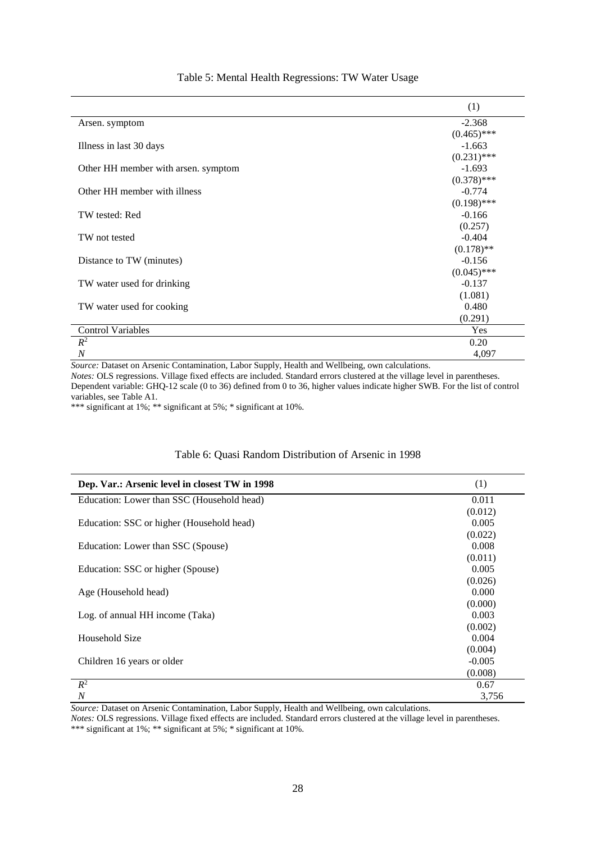|                                     | (1)           |
|-------------------------------------|---------------|
| Arsen. symptom                      | $-2.368$      |
|                                     | $(0.465)$ *** |
| Illness in last 30 days             | $-1.663$      |
|                                     | $(0.231)$ *** |
| Other HH member with arsen. symptom | $-1.693$      |
|                                     | $(0.378)$ *** |
| Other HH member with illness        | $-0.774$      |
|                                     | $(0.198)$ *** |
| TW tested: Red                      | $-0.166$      |
|                                     | (0.257)       |
| TW not tested                       | $-0.404$      |
|                                     | $(0.178)$ **  |
| Distance to TW (minutes)            | $-0.156$      |
|                                     | $(0.045)$ *** |
| TW water used for drinking          | $-0.137$      |
|                                     | (1.081)       |
| TW water used for cooking           | 0.480         |
|                                     | (0.291)       |
| <b>Control Variables</b>            | Yes           |
| $R^2$                               | 0.20          |
| $\overline{N}$                      | 4,097         |

## Table 5: Mental Health Regressions: TW Water Usage

*Source:* Dataset on Arsenic Contamination, Labor Supply, Health and Wellbeing, own calculations.

*Notes:* OLS regressions. Village fixed effects are included. Standard errors clustered at the village level in parentheses. Dependent variable: GHQ-12 scale (0 to 36) defined from 0 to 36, higher values indicate higher SWB. For the list of control variables, see Table A1.

\*\*\* significant at 1%; \*\* significant at 5%; \* significant at 10%.

# Table 6: Quasi Random Distribution of Arsenic in 1998

| Dep. Var.: Arsenic level in closest TW in 1998 | (1)      |
|------------------------------------------------|----------|
| Education: Lower than SSC (Household head)     | 0.011    |
|                                                | (0.012)  |
| Education: SSC or higher (Household head)      | 0.005    |
|                                                | (0.022)  |
| Education: Lower than SSC (Spouse)             | 0.008    |
|                                                | (0.011)  |
| Education: SSC or higher (Spouse)              | 0.005    |
|                                                | (0.026)  |
| Age (Household head)                           | 0.000    |
|                                                | (0.000)  |
| Log. of annual HH income (Taka)                | 0.003    |
|                                                | (0.002)  |
| Household Size                                 | 0.004    |
|                                                | (0.004)  |
| Children 16 years or older                     | $-0.005$ |
|                                                | (0.008)  |
| $R^2$                                          | 0.67     |
| N                                              | 3,756    |

*Source:* Dataset on Arsenic Contamination, Labor Supply, Health and Wellbeing, own calculations.

*Notes:* OLS regressions. Village fixed effects are included. Standard errors clustered at the village level in parentheses. \*\*\* significant at 1%; \*\* significant at 5%; \* significant at 10%.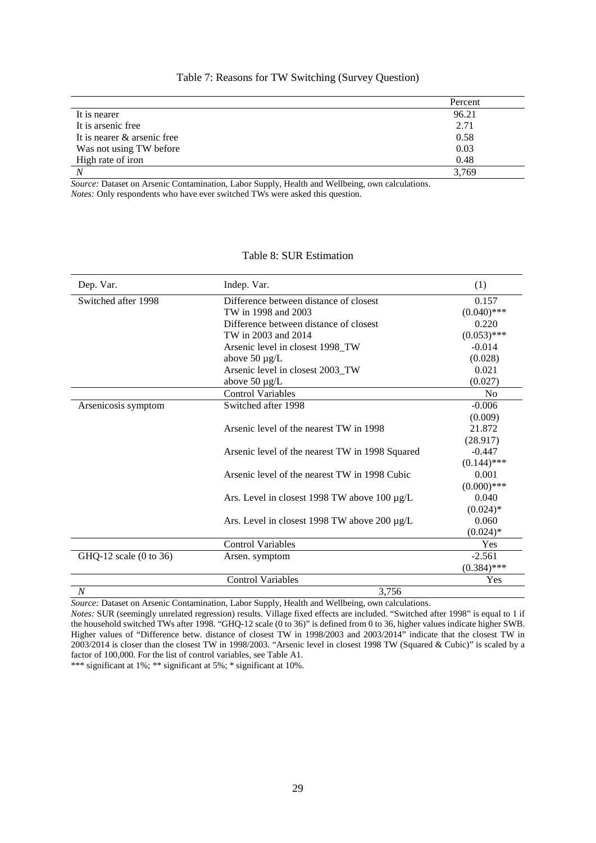|                             | Percent |
|-----------------------------|---------|
| It is nearer                | 96.21   |
| It is arsenic free          | 2.71    |
| It is nearer & arsenic free | 0.58    |
| Was not using TW before     | 0.03    |
| High rate of iron           | 0.48    |
| N                           | 3,769   |

## Table 7: Reasons for TW Switching (Survey Question)

*Source:* Dataset on Arsenic Contamination, Labor Supply, Health and Wellbeing, own calculations. *Notes:* Only respondents who have ever switched TWs were asked this question.

# Table 8: SUR Estimation

| Dep. Var.              | Indep. Var.                                       | (1)            |
|------------------------|---------------------------------------------------|----------------|
| Switched after 1998    | Difference between distance of closest            | 0.157          |
|                        | TW in 1998 and 2003                               | $(0.040)$ ***  |
|                        | Difference between distance of closest            | 0.220          |
|                        | TW in 2003 and 2014                               | $(0.053)$ ***  |
|                        | Arsenic level in closest 1998_TW                  | $-0.014$       |
|                        | above $50 \mu g/L$                                | (0.028)        |
|                        | Arsenic level in closest 2003_TW                  | 0.021          |
|                        | above $50 \mu g/L$                                | (0.027)        |
|                        | <b>Control Variables</b>                          | N <sub>0</sub> |
| Arsenicosis symptom    | Switched after 1998                               | $-0.006$       |
|                        |                                                   | (0.009)        |
|                        | Arsenic level of the nearest TW in 1998           | 21.872         |
|                        |                                                   | (28.917)       |
|                        | Arsenic level of the nearest TW in 1998 Squared   | $-0.447$       |
|                        |                                                   | $(0.144)$ ***  |
|                        | Arsenic level of the nearest TW in 1998 Cubic     | 0.001          |
|                        |                                                   | $(0.000)$ ***  |
|                        | Ars. Level in closest 1998 TW above 100 $\mu$ g/L | 0.040          |
|                        |                                                   | $(0.024)$ *    |
|                        | Ars. Level in closest 1998 TW above 200 $\mu$ g/L | 0.060          |
|                        |                                                   | $(0.024)*$     |
|                        | <b>Control Variables</b>                          | Yes            |
| GHQ-12 scale (0 to 36) | Arsen. symptom                                    | $-2.561$       |
|                        |                                                   | $(0.384)$ ***  |
|                        | <b>Control Variables</b>                          | Yes            |
| $\boldsymbol{N}$       | 3,756                                             |                |

*Source:* Dataset on Arsenic Contamination, Labor Supply, Health and Wellbeing, own calculations.

*Notes:* SUR (seemingly unrelated regression) results. Village fixed effects are included. "Switched after 1998" is equal to 1 if the household switched TWs after 1998. "GHQ-12 scale (0 to 36)" is defined from 0 to 36, higher values indicate higher SWB. Higher values of "Difference betw. distance of closest TW in 1998/2003 and 2003/2014" indicate that the closest TW in 2003/2014 is closer than the closest TW in 1998/2003. "Arsenic level in closest 1998 TW (Squared & Cubic)" is scaled by a factor of 100,000. For the list of control variables, see Table A1.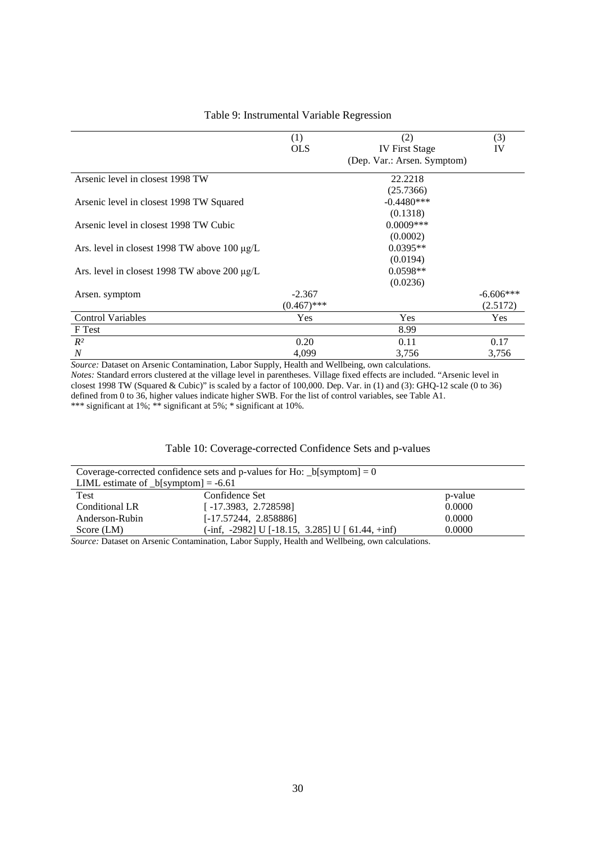|                                                   | (1)           | (2)                         | (3)         |
|---------------------------------------------------|---------------|-----------------------------|-------------|
|                                                   | <b>OLS</b>    | <b>IV First Stage</b>       | IV          |
|                                                   |               | (Dep. Var.: Arsen. Symptom) |             |
| Arsenic level in closest 1998 TW                  |               | 22.2218                     |             |
|                                                   |               | (25.7366)                   |             |
| Arsenic level in closest 1998 TW Squared          |               | $-0.4480***$                |             |
|                                                   |               | (0.1318)                    |             |
| Arsenic level in closest 1998 TW Cubic            |               | $0.0009***$                 |             |
|                                                   |               | (0.0002)                    |             |
| Ars. level in closest 1998 TW above 100 $\mu$ g/L |               | $0.0395**$                  |             |
|                                                   |               | (0.0194)                    |             |
| Ars. level in closest 1998 TW above 200 $\mu$ g/L |               | $0.0598**$                  |             |
|                                                   |               | (0.0236)                    |             |
| Arsen. symptom                                    | $-2.367$      |                             | $-6.606***$ |
|                                                   | $(0.467)$ *** |                             | (2.5172)    |
| <b>Control Variables</b>                          | Yes           | Yes                         | <b>Yes</b>  |
| F Test                                            |               | 8.99                        |             |
| $R^2$                                             | 0.20          | 0.11                        | 0.17        |
| $\boldsymbol{N}$                                  | 4,099         | 3,756                       | 3,756       |

## Table 9: Instrumental Variable Regression

*Source:* Dataset on Arsenic Contamination, Labor Supply, Health and Wellbeing, own calculations. *Notes:* Standard errors clustered at the village level in parentheses. Village fixed effects are included. "Arsenic level in closest 1998 TW (Squared & Cubic)" is scaled by a factor of 100,000. Dep. Var. in (1) and (3): GHQ-12 scale (0 to 36) defined from 0 to 36, higher values indicate higher SWB. For the list of control variables, see Table A1. \*\*\* significant at 1%; \*\* significant at 5%; \* significant at 10%.

## Table 10: Coverage-corrected Confidence Sets and p-values

| Coverage-corrected confidence sets and p-values for Ho: $_b[symptom] = 0$ |                                                         |         |  |  |  |
|---------------------------------------------------------------------------|---------------------------------------------------------|---------|--|--|--|
| LIML estimate of $_b[symptom] = -6.61$                                    |                                                         |         |  |  |  |
| Test                                                                      | Confidence Set                                          | p-value |  |  |  |
| Conditional LR                                                            | $[-17.3983, 2.728598]$                                  | 0.0000  |  |  |  |
| Anderson-Rubin                                                            | $[-17.57244, 2.858886]$                                 | 0.0000  |  |  |  |
| Score $(LM)$                                                              | $(-\inf, -2982)$ U $[-18.15, 3.285]$ U $[61.44, +\inf)$ | 0.0000  |  |  |  |

*Source:* Dataset on Arsenic Contamination, Labor Supply, Health and Wellbeing, own calculations.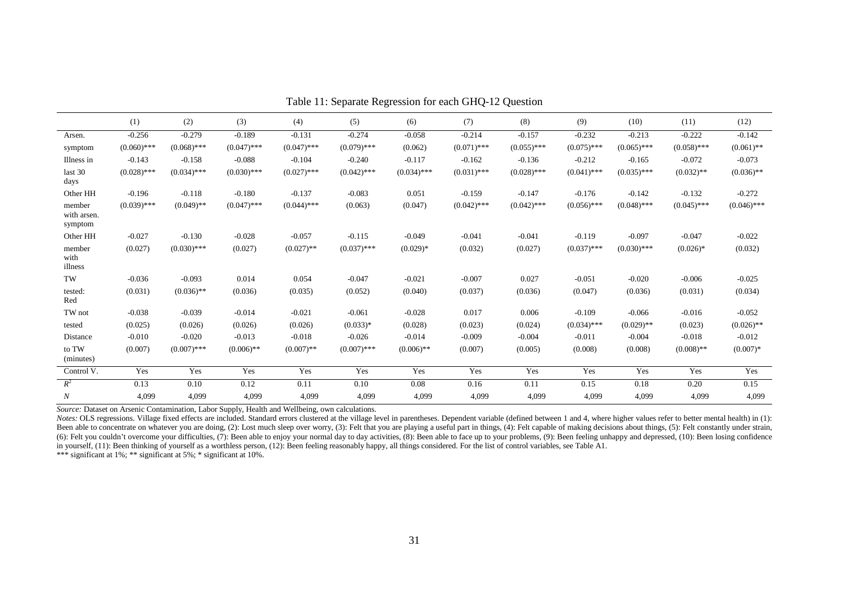|                                  | (1)           | (2)           | (3)           | (4)           | (5)           | (6)           | (7)           | (8)           | (9)           | (10)          | (11)          | (12)          |
|----------------------------------|---------------|---------------|---------------|---------------|---------------|---------------|---------------|---------------|---------------|---------------|---------------|---------------|
| Arsen.                           | $-0.256$      | $-0.279$      | $-0.189$      | $-0.131$      | $-0.274$      | $-0.058$      | $-0.214$      | $-0.157$      | $-0.232$      | $-0.213$      | $-0.222$      | $-0.142$      |
| symptom                          | $(0.060)$ *** | $(0.068)$ *** | $(0.047)$ *** | $(0.047)$ *** | $(0.079)$ *** | (0.062)       | $(0.071)$ *** | $(0.055)$ *** | $(0.075)$ *** | $(0.065)$ *** | $(0.058)$ *** | $(0.061)$ **  |
| Illness in                       | $-0.143$      | $-0.158$      | $-0.088$      | $-0.104$      | $-0.240$      | $-0.117$      | $-0.162$      | $-0.136$      | $-0.212$      | $-0.165$      | $-0.072$      | $-0.073$      |
| last 30<br>days                  | $(0.028)$ *** | $(0.034)$ *** | $(0.030)$ *** | $(0.027)$ *** | $(0.042)$ *** | $(0.034)$ *** | $(0.031)$ *** | $(0.028)$ *** | $(0.041)$ *** | $(0.035)$ *** | $(0.032)$ **  | $(0.036)$ **  |
| Other HH                         | $-0.196$      | $-0.118$      | $-0.180$      | $-0.137$      | $-0.083$      | 0.051         | $-0.159$      | $-0.147$      | $-0.176$      | $-0.142$      | $-0.132$      | $-0.272$      |
| member<br>with arsen.<br>symptom | $(0.039)$ *** | $(0.049)$ **  | $(0.047)$ *** | $(0.044)$ *** | (0.063)       | (0.047)       | $(0.042)$ *** | $(0.042)$ *** | $(0.056)$ *** | $(0.048)$ *** | $(0.045)$ *** | $(0.046)$ *** |
| Other HH                         | $-0.027$      | $-0.130$      | $-0.028$      | $-0.057$      | $-0.115$      | $-0.049$      | $-0.041$      | $-0.041$      | $-0.119$      | $-0.097$      | $-0.047$      | $-0.022$      |
| member<br>with<br>illness        | (0.027)       | $(0.030)$ *** | (0.027)       | $(0.027)$ **  | $(0.037)$ *** | $(0.029)*$    | (0.032)       | (0.027)       | $(0.037)$ *** | $(0.030)$ *** | $(0.026)$ *   | (0.032)       |
| TW                               | $-0.036$      | $-0.093$      | 0.014         | 0.054         | $-0.047$      | $-0.021$      | $-0.007$      | 0.027         | $-0.051$      | $-0.020$      | $-0.006$      | $-0.025$      |
| tested:<br>Red                   | (0.031)       | $(0.036)$ **  | (0.036)       | (0.035)       | (0.052)       | (0.040)       | (0.037)       | (0.036)       | (0.047)       | (0.036)       | (0.031)       | (0.034)       |
| TW not                           | $-0.038$      | $-0.039$      | $-0.014$      | $-0.021$      | $-0.061$      | $-0.028$      | 0.017         | 0.006         | $-0.109$      | $-0.066$      | $-0.016$      | $-0.052$      |
| tested                           | (0.025)       | (0.026)       | (0.026)       | (0.026)       | $(0.033)*$    | (0.028)       | (0.023)       | (0.024)       | $(0.034)$ *** | $(0.029)$ **  | (0.023)       | $(0.026)$ **  |
| Distance                         | $-0.010$      | $-0.020$      | $-0.013$      | $-0.018$      | $-0.026$      | $-0.014$      | $-0.009$      | $-0.004$      | $-0.011$      | $-0.004$      | $-0.018$      | $-0.012$      |
| to TW<br>(minutes)               | (0.007)       | $(0.007)$ *** | $(0.006)$ **  | $(0.007)$ **  | $(0.007)$ *** | $(0.006)$ **  | (0.007)       | (0.005)       | (0.008)       | (0.008)       | $(0.008)$ **  | $(0.007)*$    |
| Control V.                       | Yes           | Yes           | Yes           | Yes           | Yes           | Yes           | Yes           | Yes           | Yes           | Yes           | Yes           | Yes           |
| $R^2$                            | 0.13          | 0.10          | 0.12          | 0.11          | 0.10          | 0.08          | 0.16          | 0.11          | 0.15          | 0.18          | 0.20          | 0.15          |
| $\boldsymbol{N}$                 | 4,099         | 4,099         | 4,099         | 4,099         | 4,099         | 4,099         | 4,099         | 4,099         | 4,099         | 4,099         | 4,099         | 4,099         |

Table 11: Separate Regression for each GHQ-12 Question

*Source:* Dataset on Arsenic Contamination, Labor Supply, Health and Wellbeing, own calculations.

Notes: OLS regressions. Village fixed effects are included. Standard errors clustered at the village level in parentheses. Dependent variable (defined between 1 and 4, where higher values refer to better mental health) in Been able to concentrate on whatever you are doing, (2): Lost much sleep over worry, (3): Felt that you are playing a useful part in things, (4): Felt capable of making decisions about things, (5): Felt constantly under st (6): Felt you couldn't overcome your difficulties, (7): Been able to enjoy your normal day to day activities, (8): Been able to face up to your problems, (9): Been feeling unhappy and depressed, (10): Been losing confidence in yourself, (11): Been thinking of yourself as a worthless person, (12): Been feeling reasonably happy, all things considered. For the list of control variables, see Table A1.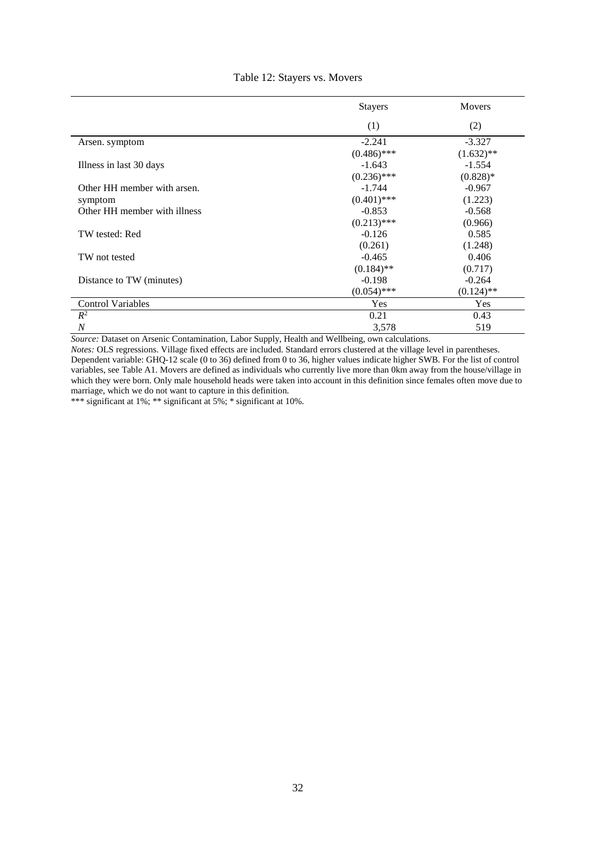|                              | <b>Stayers</b> | <b>Movers</b> |
|------------------------------|----------------|---------------|
|                              | (1)            | (2)           |
| Arsen. symptom               | $-2.241$       | $-3.327$      |
|                              | $(0.486)$ ***  | $(1.632)$ **  |
| Illness in last 30 days      | $-1.643$       | $-1.554$      |
|                              | $(0.236)$ ***  | $(0.828)*$    |
| Other HH member with arsen.  | $-1.744$       | $-0.967$      |
| symptom                      | $(0.401)$ ***  | (1.223)       |
| Other HH member with illness | $-0.853$       | $-0.568$      |
|                              | $(0.213)$ ***  | (0.966)       |
| TW tested: Red               | $-0.126$       | 0.585         |
|                              | (0.261)        | (1.248)       |
| TW not tested                | $-0.465$       | 0.406         |
|                              | $(0.184)$ **   | (0.717)       |
| Distance to TW (minutes)     | $-0.198$       | $-0.264$      |
|                              | $(0.054)$ ***  | $(0.124)$ **  |
| <b>Control Variables</b>     | Yes            | Yes           |
| $R^2$                        | 0.21           | 0.43          |
| $\overline{N}$               | 3,578          | 519           |

## Table 12: Stayers vs. Movers

*Source:* Dataset on Arsenic Contamination, Labor Supply, Health and Wellbeing, own calculations.

*Notes:* OLS regressions. Village fixed effects are included. Standard errors clustered at the village level in parentheses. Dependent variable: GHQ-12 scale (0 to 36) defined from 0 to 36, higher values indicate higher SWB. For the list of control variables, see Table A1. Movers are defined as individuals who currently live more than 0km away from the house/village in which they were born. Only male household heads were taken into account in this definition since females often move due to marriage, which we do not want to capture in this definition.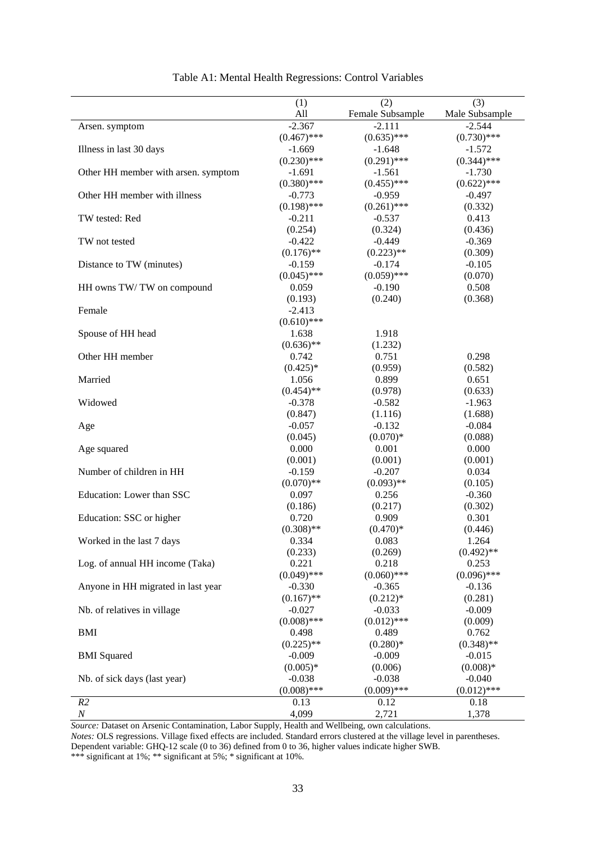|                                     | (1)              | (2)              | (3)            |
|-------------------------------------|------------------|------------------|----------------|
|                                     | All              | Female Subsample | Male Subsample |
| Arsen. symptom                      | $-2.367$         | $-2.111$         | $-2.544$       |
|                                     | $(0.467)$ ***    | $(0.635)$ ***    | $(0.730)$ ***  |
| Illness in last 30 days             | $-1.669$         | $-1.648$         | $-1.572$       |
|                                     | $(0.230)$ ***    | $(0.291)$ ***    | $(0.344)$ ***  |
| Other HH member with arsen. symptom | $-1.691$         | $-1.561$         | $-1.730$       |
|                                     | $(0.380)$ ***    | $(0.455)$ ***    | $(0.622)$ ***  |
| Other HH member with illness        | $-0.773$         | $-0.959$         | $-0.497$       |
|                                     | $(0.198)$ ***    | $(0.261)$ ***    | (0.332)        |
| TW tested: Red                      | $-0.211$         | $-0.537$         | 0.413          |
|                                     | (0.254)          | (0.324)          | (0.436)        |
| TW not tested                       | $-0.422$         | $-0.449$         | $-0.369$       |
|                                     | $(0.176)$ **     | $(0.223)$ **     | (0.309)        |
| Distance to TW (minutes)            | $-0.159$         | $-0.174$         | $-0.105$       |
|                                     | $(0.045)$ ***    | $(0.059)$ ***    | (0.070)        |
| HH owns TW/TW on compound           | 0.059            | $-0.190$         | 0.508          |
|                                     | (0.193)          | (0.240)          | (0.368)        |
| Female                              | $-2.413$         |                  |                |
|                                     | $(0.610)$ ***    |                  |                |
| Spouse of HH head                   | 1.638            | 1.918            |                |
|                                     | $(0.636)$ **     | (1.232)          |                |
| Other HH member                     | 0.742            | 0.751            | 0.298          |
|                                     | $(0.425)*$       | (0.959)          | (0.582)        |
| Married                             | 1.056            | 0.899            | 0.651          |
|                                     | $(0.454)$ **     | (0.978)          | (0.633)        |
| Widowed                             | $-0.378$         | $-0.582$         | $-1.963$       |
|                                     | (0.847)          | (1.116)          | (1.688)        |
| Age                                 | $-0.057$         | $-0.132$         | $-0.084$       |
|                                     | (0.045)          | $(0.070)*$       | (0.088)        |
| Age squared                         | 0.000            | 0.001            | 0.000          |
|                                     | (0.001)          | (0.001)          | (0.001)        |
| Number of children in HH            | $-0.159$         | $-0.207$         | 0.034          |
|                                     | $(0.070)$ **     | $(0.093)$ **     | (0.105)        |
| Education: Lower than SSC           | 0.097            | 0.256            | $-0.360$       |
|                                     | (0.186)          | (0.217)          | (0.302)        |
| Education: SSC or higher            | 0.720            | 0.909            | 0.301          |
|                                     | $(0.308)$ **     | $(0.470)*$       | (0.446)        |
|                                     |                  | 0.083            | 1.264          |
| Worked in the last 7 days           | 0.334            |                  | $(0.492)$ **   |
| Log. of annual HH income (Taka)     | (0.233)<br>0.221 | (0.269)<br>0.218 | 0.253          |
|                                     |                  |                  | $(0.096)$ ***  |
|                                     | $(0.049)$ ***    | $(0.060)$ ***    |                |
| Anyone in HH migrated in last year  | $-0.330$         | $-0.365$         | $-0.136$       |
|                                     | $(0.167)$ **     | $(0.212)*$       | (0.281)        |
| Nb. of relatives in village         | $-0.027$         | $-0.033$         | $-0.009$       |
|                                     | $(0.008)$ ***    | $(0.012)$ ***    | (0.009)        |
| <b>BMI</b>                          | 0.498            | 0.489            | 0.762          |
|                                     | $(0.225)$ **     | $(0.280)*$       | $(0.348)$ **   |
| <b>BMI</b> Squared                  | $-0.009$         | $-0.009$         | $-0.015$       |
|                                     | $(0.005)*$       | (0.006)          | $(0.008)*$     |
| Nb. of sick days (last year)        | $-0.038$         | $-0.038$         | $-0.040$       |
|                                     | $(0.008)$ ***    | $(0.009)$ ***    | $(0.012)$ ***  |
| R2                                  | 0.13             | 0.12             | 0.18           |
| $\boldsymbol{N}$                    | 4,099            | 2,721            | 1,378          |

*Source:* Dataset on Arsenic Contamination, Labor Supply, Health and Wellbeing, own calculations.

*Notes:* OLS regressions. Village fixed effects are included. Standard errors clustered at the village level in parentheses. Dependent variable: GHQ-12 scale (0 to 36) defined from 0 to 36, higher values indicate higher SWB.